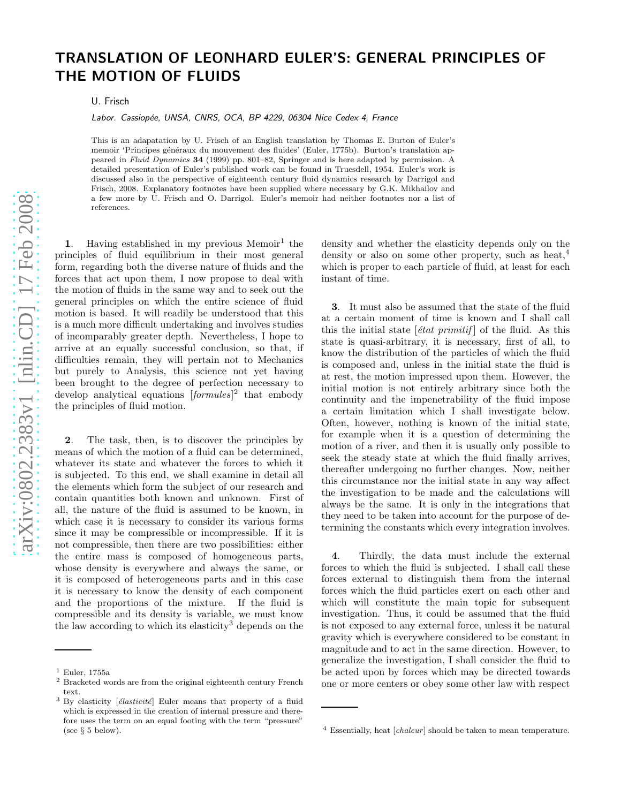## TRANSLATION OF LEONHARD EULER'S: GENERAL PRINCIPLES OF THE MOTION OF FLUIDS

U. Frisch

Labor. Cassiopée, UNSA, CNRS, OCA, BP 4229, 06304 Nice Cedex 4, France

This is an adapatation by U. Frisch of an English translation by Thomas E. Burton of Euler's memoir 'Principes généraux du mouvement des fluides' (Euler, 1775b). Burton's translation appeared in Fluid Dynamics 34 (1999) pp. 801–82, Springer and is here adapted by permission. A detailed presentation of Euler's published work can be found in Truesdell, 1954. Euler's work is discussed also in the perspective of eighteenth century fluid dynamics research by Darrigol and Frisch, 2008. Explanatory footnotes have been supplied where necessary by G.K. Mikhailov and a few more by U. Frisch and O. Darrigol. Euler's memoir had neither footnotes nor a list of references.

1. Having established in my previous  $M$ emoir<sup>1</sup> the principles of fluid equilibrium in their most general form, regarding both the diverse nature of fluids and the forces that act upon them, I now propose to deal with the motion of fluids in the same way and to seek out the general principles on which the entire science of fluid motion is based. It will readily be understood that this is a much more difficult undertaking and involves studies of incomparably greater depth. Nevertheless, I hope to arrive at an equally successful conclusion, so that, if difficulties remain, they will pertain not to Mechanics but purely to Analysis, this science not yet having been brought to the degree of perfection necessary to develop analytical equations  $[formules]^2$  that embody the principles of fluid motion.

2. The task, then, is to discover the principles by means of which the motion of a fluid can be determined, whatever its state and whatever the forces to which it is subjected. To this end, we shall examine in detail all the elements which form the subject of our research and contain quantities both known and unknown. First of all, the nature of the fluid is assumed to be known, in which case it is necessary to consider its various forms since it may be compressible or incompressible. If it is not compressible, then there are two possibilities: either the entire mass is composed of homogeneous parts, whose density is everywhere and always the same, or it is composed of heterogeneous parts and in this case it is necessary to know the density of each component and the proportions of the mixture. If the fluid is compressible and its density is variable, we must know the law according to which its elasticity<sup>3</sup> depends on the density and whether the elasticity depends only on the density or also on some other property, such as heat,<sup>4</sup> which is proper to each particle of fluid, at least for each instant of time.

3. It must also be assumed that the state of the fluid at a certain moment of time is known and I shall call this the initial state  $[eta$  primitif  $]$  of the fluid. As this state is quasi-arbitrary, it is necessary, first of all, to know the distribution of the particles of which the fluid is composed and, unless in the initial state the fluid is at rest, the motion impressed upon them. However, the initial motion is not entirely arbitrary since both the continuity and the impenetrability of the fluid impose a certain limitation which I shall investigate below. Often, however, nothing is known of the initial state, for example when it is a question of determining the motion of a river, and then it is usually only possible to seek the steady state at which the fluid finally arrives, thereafter undergoing no further changes. Now, neither this circumstance nor the initial state in any way affect the investigation to be made and the calculations will always be the same. It is only in the integrations that they need to be taken into account for the purpose of determining the constants which every integration involves.

4. Thirdly, the data must include the external forces to which the fluid is subjected. I shall call these forces external to distinguish them from the internal forces which the fluid particles exert on each other and which will constitute the main topic for subsequent investigation. Thus, it could be assumed that the fluid is not exposed to any external force, unless it be natural gravity which is everywhere considered to be constant in magnitude and to act in the same direction. However, to generalize the investigation, I shall consider the fluid to be acted upon by forces which may be directed towards one or more centers or obey some other law with respect

 $<sup>1</sup>$  Euler, 1755a</sup>

<sup>2</sup> Bracketed words are from the original eighteenth century French text.

 $3$  By elasticity  $[elasticit\acute{e}]$  Euler means that property of a fluid which is expressed in the creation of internal pressure and therefore uses the term on an equal footing with the term "pressure" (see § 5 below).

<sup>4</sup> Essentially, heat [chaleur] should be taken to mean temperature.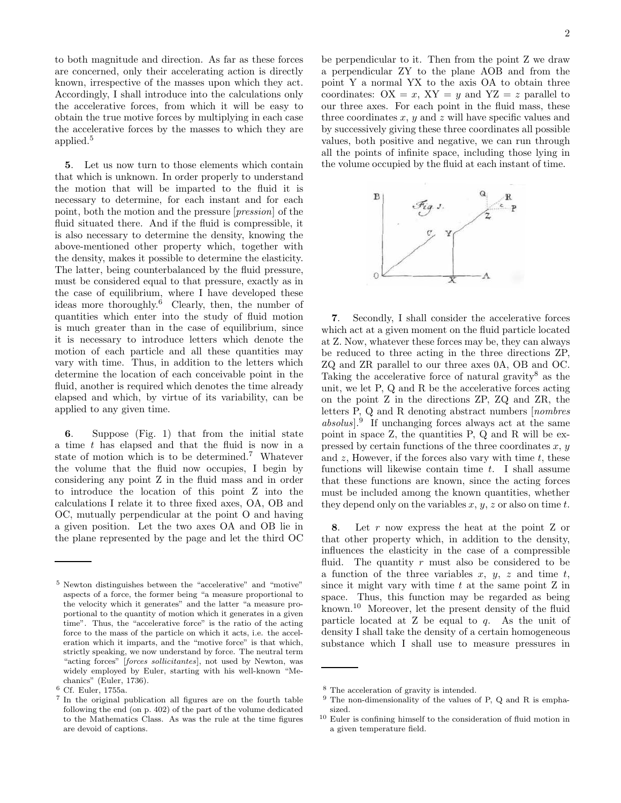to both magnitude and direction. As far as these forces are concerned, only their accelerating action is directly known, irrespective of the masses upon which they act. Accordingly, I shall introduce into the calculations only the accelerative forces, from which it will be easy to obtain the true motive forces by multiplying in each case the accelerative forces by the masses to which they are applied.<sup>5</sup>

5. Let us now turn to those elements which contain that which is unknown. In order properly to understand the motion that will be imparted to the fluid it is necessary to determine, for each instant and for each point, both the motion and the pressure [pression] of the fluid situated there. And if the fluid is compressible, it is also necessary to determine the density, knowing the above-mentioned other property which, together with the density, makes it possible to determine the elasticity. The latter, being counterbalanced by the fluid pressure, must be considered equal to that pressure, exactly as in the case of equilibrium, where I have developed these ideas more thoroughly.<sup> $\acute{\text{o}}$ </sup> Clearly, then, the number of quantities which enter into the study of fluid motion is much greater than in the case of equilibrium, since it is necessary to introduce letters which denote the motion of each particle and all these quantities may vary with time. Thus, in addition to the letters which determine the location of each conceivable point in the fluid, another is required which denotes the time already elapsed and which, by virtue of its variability, can be applied to any given time.

6. Suppose (Fig. 1) that from the initial state a time t has elapsed and that the fluid is now in a state of motion which is to be determined.<sup>7</sup> Whatever the volume that the fluid now occupies, I begin by considering any point Z in the fluid mass and in order to introduce the location of this point Z into the calculations I relate it to three fixed axes, OA, OB and OC, mutually perpendicular at the point O and having a given position. Let the two axes OA and OB lie in the plane represented by the page and let the third OC be perpendicular to it. Then from the point Z we draw a perpendicular ZY to the plane AOB and from the point Y a normal YX to the axis OA to obtain three coordinates:  $OX = x$ ,  $XY = y$  and  $YZ = z$  parallel to our three axes. For each point in the fluid mass, these three coordinates  $x, y$  and  $z$  will have specific values and by successively giving these three coordinates all possible values, both positive and negative, we can run through all the points of infinite space, including those lying in the volume occupied by the fluid at each instant of time.



7. Secondly, I shall consider the accelerative forces which act at a given moment on the fluid particle located at Z. Now, whatever these forces may be, they can always be reduced to three acting in the three directions ZP, ZQ and ZR parallel to our three axes 0A, OB and OC. Taking the accelerative force of natural gravity<sup>8</sup> as the unit, we let P, Q and R be the accelerative forces acting on the point Z in the directions ZP, ZQ and ZR, the letters P, Q and R denoting abstract numbers [nombres absolus].<sup>9</sup> If unchanging forces always act at the same point in space Z, the quantities P, Q and R will be expressed by certain functions of the three coordinates  $x, y$ and  $z$ , However, if the forces also vary with time  $t$ , these functions will likewise contain time  $t$ . I shall assume that these functions are known, since the acting forces must be included among the known quantities, whether they depend only on the variables  $x, y, z$  or also on time  $t$ .

8. Let r now express the heat at the point Z or that other property which, in addition to the density, influences the elasticity in the case of a compressible fluid. The quantity  $r$  must also be considered to be a function of the three variables  $x, y, z$  and time  $t$ , since it might vary with time  $t$  at the same point  $Z$  in space. Thus, this function may be regarded as being known.<sup>10</sup> Moreover, let the present density of the fluid particle located at  $Z$  be equal to  $q$ . As the unit of density I shall take the density of a certain homogeneous substance which I shall use to measure pressures in

<sup>5</sup> Newton distinguishes between the "accelerative" and "motive" aspects of a force, the former being "a measure proportional to the velocity which it generates" and the latter "a measure proportional to the quantity of motion which it generates in a given time". Thus, the "accelerative force" is the ratio of the acting force to the mass of the particle on which it acts, i.e. the acceleration which it imparts, and the "motive force" is that which, strictly speaking, we now understand by force. The neutral term "acting forces" [forces sollicitantes], not used by Newton, was widely employed by Euler, starting with his well-known "Mechanics" (Euler, 1736).

<sup>6</sup> Cf. Euler, 1755a.

<sup>7</sup> In the original publication all figures are on the fourth table following the end (on p. 402) of the part of the volume dedicated to the Mathematics Class. As was the rule at the time figures are devoid of captions.

<sup>8</sup> The acceleration of gravity is intended.

<sup>&</sup>lt;sup>9</sup> The non-dimensionality of the values of P, Q and R is emphasized.

 $^{10}$  Euler is confining himself to the consideration of fluid motion in a given temperature field.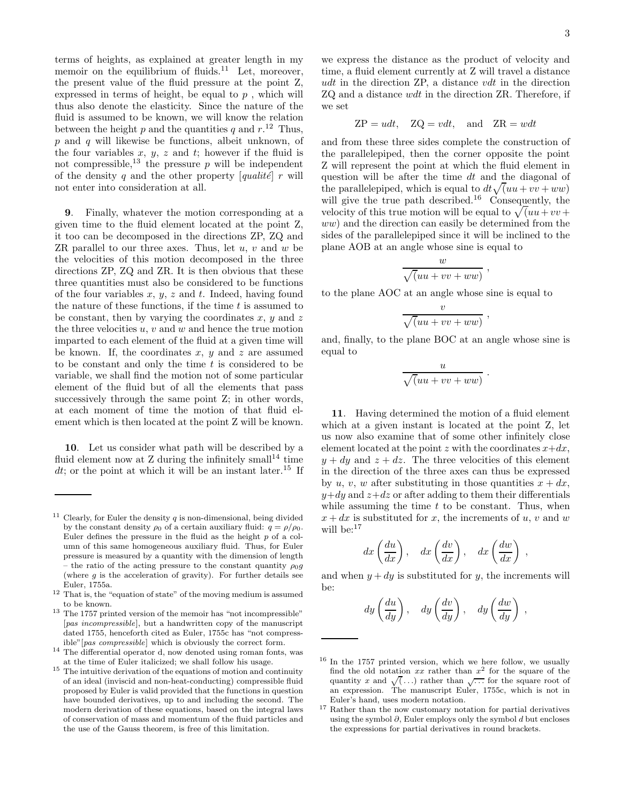terms of heights, as explained at greater length in my memoir on the equilibrium of fluids.<sup>11</sup> Let, moreover, the present value of the fluid pressure at the point Z, expressed in terms of height, be equal to  $p$ , which will thus also denote the elasticity. Since the nature of the fluid is assumed to be known, we will know the relation between the height p and the quantities q and  $r^{12}$  Thus,  $p$  and  $q$  will likewise be functions, albeit unknown, of the four variables  $x, y, z$  and  $t$ ; however if the fluid is not compressible,<sup>13</sup> the pressure p will be independent of the density q and the other property  $[quality]$  r will not enter into consideration at all.

9. Finally, whatever the motion corresponding at a given time to the fluid element located at the point Z, it too can be decomposed in the directions ZP, ZQ and ZR parallel to our three axes. Thus, let  $u, v$  and  $w$  be the velocities of this motion decomposed in the three directions ZP, ZQ and ZR. It is then obvious that these three quantities must also be considered to be functions of the four variables  $x, y, z$  and  $t$ . Indeed, having found the nature of these functions, if the time  $t$  is assumed to be constant, then by varying the coordinates  $x, y$  and  $z$ the three velocities  $u, v$  and  $w$  and hence the true motion imparted to each element of the fluid at a given time will be known. If, the coordinates  $x, y$  and  $z$  are assumed to be constant and only the time  $t$  is considered to be variable, we shall find the motion not of some particular element of the fluid but of all the elements that pass successively through the same point Z; in other words, at each moment of time the motion of that fluid element which is then located at the point Z will be known.

10. Let us consider what path will be described by a fluid element now at  $Z$  during the infinitely small<sup>14</sup> time dt; or the point at which it will be an instant later.<sup>15</sup> If we express the distance as the product of velocity and time, a fluid element currently at Z will travel a distance udt in the direction ZP, a distance vdt in the direction ZQ and a distance wdt in the direction ZR. Therefore, if we set

$$
ZP = udt, \quad ZQ = vdt, \quad \text{and} \quad ZR = wdt
$$

and from these three sides complete the construction of the parallelepiped, then the corner opposite the point Z will represent the point at which the fluid element in question will be after the time dt and the diagonal of the parallelepiped, which is equal to  $dt\sqrt{u}u + vv + ww$ will give the true path described.<sup>16</sup> Consequently, the velocity of this true motion will be equal to  $\sqrt{u}u + vv +$ ww) and the direction can easily be determined from the sides of the parallelepiped since it will be inclined to the plane AOB at an angle whose sine is equal to

$$
\frac{w}{\sqrt{u^2 + v^2 + w^2}}
$$

to the plane AOC at an angle whose sine is equal to

$$
\frac{v}{\sqrt{(uu+vv+ww)}}
$$

,

.

,

and, finally, to the plane BOC at an angle whose sine is equal to

$$
\frac{u}{\sqrt{(uu+vv+ww)}}
$$

11. Having determined the motion of a fluid element which at a given instant is located at the point Z, let us now also examine that of some other infinitely close element located at the point z with the coordinates  $x+dx$ ,  $y + dy$  and  $z + dz$ . The three velocities of this element in the direction of the three axes can thus be expressed by u, v, w after substituting in those quantities  $x + dx$ ,  $y+dy$  and  $z+dz$  or after adding to them their differentials while assuming the time  $t$  to be constant. Thus, when  $x + dx$  is substituted for x, the increments of u, v and w will be:<sup>17</sup>

$$
dx\left(\frac{du}{dx}\right), \quad dx\left(\frac{dv}{dx}\right), \quad dx\left(\frac{dw}{dx}\right)
$$

and when  $y + dy$  is substituted for y, the increments will be:

$$
dy\left(\frac{du}{dy}\right), \quad dy\left(\frac{dv}{dy}\right), \quad dy\left(\frac{dw}{dy}\right),
$$

<sup>&</sup>lt;sup>11</sup> Clearly, for Euler the density q is non-dimensional, being divided by the constant density  $\rho_0$  of a certain auxiliary fluid:  $q = \rho/\rho_0$ . Euler defines the pressure in the fluid as the height  $p$  of a column of this same homogeneous auxiliary fluid. Thus, for Euler pressure is measured by a quantity with the dimension of length – the ratio of the acting pressure to the constant quantity  $\rho_0 g$ (where  $g$  is the acceleration of gravity). For further details see Euler, 1755a.

<sup>&</sup>lt;sup>12</sup> That is, the "equation of state" of the moving medium is assumed to be known.

<sup>13</sup> The 1757 printed version of the memoir has "not incompressible" [pas incompressible], but a handwritten copy of the manuscript dated 1755, henceforth cited as Euler, 1755c has "not compressible"[pas compressible] which is obviously the correct form.

<sup>14</sup> The differential operator d, now denoted using roman fonts, was at the time of Euler italicized; we shall follow his usage.

<sup>15</sup> The intuitive derivation of the equations of motion and continuity of an ideal (inviscid and non-heat-conducting) compressible fluid proposed by Euler is valid provided that the functions in question have bounded derivatives, up to and including the second. The modern derivation of these equations, based on the integral laws of conservation of mass and momentum of the fluid particles and the use of the Gauss theorem, is free of this limitation.

<sup>16</sup> In the 1757 printed version, which we here follow, we usually find the old notation  $xx$  rather than  $x^2$  for the square of the quantity x and  $\sqrt{(} \ldots )$  rather than  $\sqrt{\ldots }$  for the square root of an expression. The manuscript Euler, 1755c, which is not in Euler's hand, uses modern notation.

<sup>&</sup>lt;sup>17</sup> Rather than the now customary notation for partial derivatives using the symbol  $\partial$ , Euler employs only the symbol  $d$  but encloses the expressions for partial derivatives in round brackets.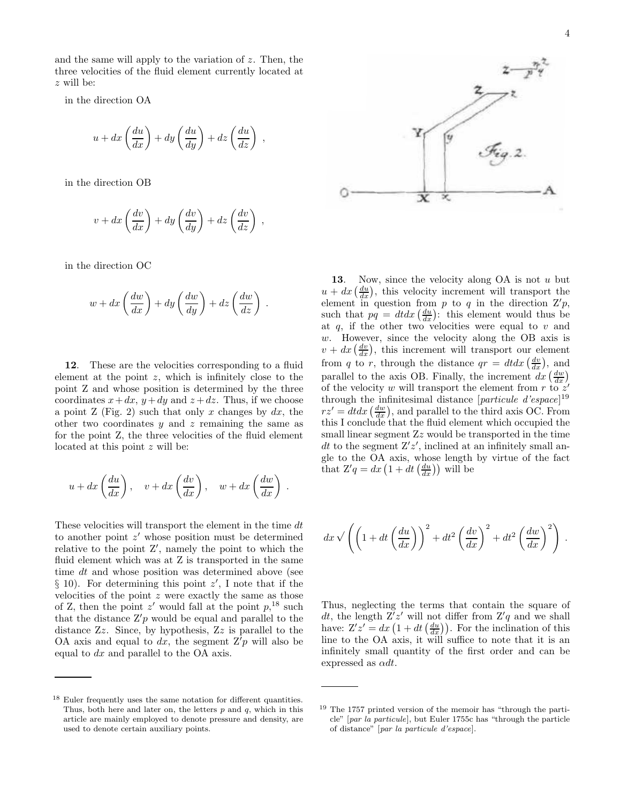and the same will apply to the variation of  $z$ . Then, the three velocities of the fluid element currently located at z will be:

in the direction OA

$$
u + dx \left(\frac{du}{dx}\right) + dy \left(\frac{du}{dy}\right) + dz \left(\frac{du}{dz}\right) ,
$$

in the direction OB

$$
v + dx \left(\frac{dv}{dx}\right) + dy \left(\frac{dv}{dy}\right) + dz \left(\frac{dv}{dz}\right) ,
$$

in the direction OC

$$
w + dx \left(\frac{dw}{dx}\right) + dy \left(\frac{dw}{dy}\right) + dz \left(\frac{dw}{dz}\right).
$$

12. These are the velocities corresponding to a fluid element at the point  $z$ , which is infinitely close to the point Z and whose position is determined by the three coordinates  $x+dx$ ,  $y+dy$  and  $z+dz$ . Thus, if we choose a point  $Z$  (Fig. 2) such that only x changes by  $dx$ , the other two coordinates  $y$  and  $z$  remaining the same as for the point Z, the three velocities of the fluid element located at this point z will be:

$$
u + dx\left(\frac{du}{dx}\right)
$$
,  $v + dx\left(\frac{dv}{dx}\right)$ ,  $w + dx\left(\frac{dw}{dx}\right)$ .

These velocities will transport the element in the time dt to another point  $z'$  whose position must be determined relative to the point Z′ , namely the point to which the fluid element which was at Z is transported in the same time dt and whose position was determined above (see  $\S$  10). For determining this point  $z'$ , I note that if the velocities of the point  $z$  were exactly the same as those of Z, then the point  $z'$  would fall at the point  $p<sub>1</sub>^{18}$  such that the distance  $Z'p$  would be equal and parallel to the distance  $Zz$ . Since, by hypothesis,  $Zz$  is parallel to the OA axis and equal to dx, the segment  $Z'p$  will also be equal to dx and parallel to the OA axis.



13. Now, since the velocity along  $OA$  is not u but  $u + dx \left(\frac{du}{dx}\right)$ , this velocity increment will transport the element in question from  $p$  to  $q$  in the direction  $\mathbb{Z}'p$ , such that  $pq = dtdx \left(\frac{du}{dx}\right)$ : this element would thus be at  $q$ , if the other two velocities were equal to  $v$  and w. However, since the velocity along the OB axis is  $v + dx \left(\frac{dv}{dx}\right)$ , this increment will transport our element from q to r, through the distance  $qr = dtdx \left(\frac{dv}{dx}\right)$ , and parallel to the axis OB. Finally, the increment  $dx \left(\frac{dw}{dx}\right)$ of the velocity w will transport the element from r to  $z'$ through the infinitesimal distance  $[particule]$  d'espace $]$ <sup>19</sup>  $rz' = dtdx \left(\frac{dw}{dx}\right)$ , and parallel to the third axis OC. From this I conclude that the fluid element which occupied the small linear segment  $Zz$  would be transported in the time dt to the segment  $Z'z'$ , inclined at an infinitely small angle to the OA axis, whose length by virtue of the fact that  $Z'q = dx \left(1 + dt \left(\frac{du}{dx}\right)\right)$  will be

$$
dx \sqrt{\left(\left(1+dt\left(\frac{du}{dx}\right)\right)^2+dt^2\left(\frac{dv}{dx}\right)^2+dt^2\left(\frac{dw}{dx}\right)^2\right)}.
$$

Thus, neglecting the terms that contain the square of dt, the length  $Z'z'$  will not differ from  $Z'q$  and we shall have:  $Z'z' = dx(1 + dt(\frac{du}{dx}))$ . For the inclination of this line to the OA axis, it will suffice to note that it is an infinitely small quantity of the first order and can be expressed as  $\alpha dt$ .

<sup>18</sup> Euler frequently uses the same notation for different quantities. Thus, both here and later on, the letters  $p$  and  $q$ , which in this article are mainly employed to denote pressure and density, are used to denote certain auxiliary points.

<sup>19</sup> The 1757 printed version of the memoir has "through the particle" [par la particule], but Euler 1755c has "through the particle of distance" [par la particule d'espace].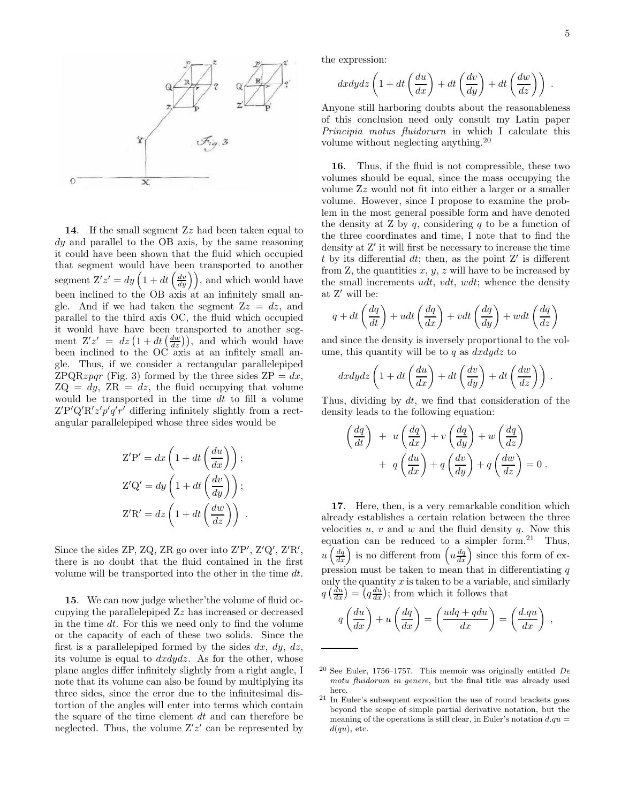

14. If the small segment  $\mathbb{Z}z$  had been taken equal to dy and parallel to the OB axis, by the same reasoning it could have been shown that the fluid which occupied that segment would have been transported to another segment  $Z'z' = dy\left(1 + dt\left(\frac{dv}{dy}\right)\right)$ , and which would have been inclined to the OB axis at an infinitely small angle. And if we had taken the segment  $Zz = dz$ , and parallel to the third axis OC, the fluid which occupied it would have have been transported to another segment  $Z'z' = dz \left(1 + dt \left(\frac{dw}{dz}\right)\right)$ , and which would have been inclined to the OC axis at an infitely small angle. Thus, if we consider a rectangular parallelepiped ZPQRzpqr (Fig. 3) formed by the three sides  $ZP = dx$ ,  $ZQ = dy$ ,  $ZR = dz$ , the fluid occupying that volume would be transported in the time dt to fill a volume  $Z'P'Q'R'z'p'q'r'$  differing infinitely slightly from a rectangular parallelepiped whose three sides would be

$$
Z'P' = dx \left(1 + dt \left(\frac{du}{dx}\right)\right);
$$
  
\n
$$
Z'Q' = dy \left(1 + dt \left(\frac{dv}{dy}\right)\right);
$$
  
\n
$$
Z'R' = dz \left(1 + dt \left(\frac{dw}{dz}\right)\right).
$$

Since the sides ZP, ZQ, ZR go over into  $Z'P'$ ,  $Z'Q'$ ,  $Z'R'$ , there is no doubt that the fluid contained in the first volume will be transported into the other in the time dt.

15. We can now judge whether'the volume of fluid occupying the parallelepiped Zz has increased or decreased in the time  $dt$ . For this we need only to find the volume or the capacity of each of these two solids. Since the first is a parallelepiped formed by the sides  $dx$ ,  $dy$ ,  $dz$ , its volume is equal to  $dxdydz$ . As for the other, whose plane angles differ infinitely slightly from a right angle, I note that its volume can also be found by multiplying its three sides, since the error due to the infinitesimal distortion of the angles will enter into terms which contain the square of the time element dt and can therefore be neglected. Thus, the volume  $Z'z'$  can be represented by

the expression:

$$
dxdydz\left(1+dt\left(\frac{du}{dx}\right)+dt\left(\frac{dv}{dy}\right)+dt\left(\frac{dw}{dz}\right)\right).
$$

Anyone still harboring doubts about the reasonableness of this conclusion need only consult my Latin paper Principia motus fluidorurn in which I calculate this volume without neglecting anything.<sup>20</sup>

16. Thus, if the fluid is not compressible, these two volumes should be equal, since the mass occupying the volume Zz would not fit into either a larger or a smaller volume. However, since I propose to examine the problem in the most general possible form and have denoted the density at Z by q, considering q to be a function of the three coordinates and time, I note that to find the density at Z′ it will first be necessary to increase the time t by its differential  $dt$ ; then, as the point Z' is different from Z, the quantities  $x, y, z$  will have to be increased by the small increments  $udt$ ,  $vdt$ ,  $wdt$ ; whence the density at Z′ will be:

$$
q + dt\left(\frac{dq}{dt}\right) + udt\left(\frac{dq}{dx}\right) + vdt\left(\frac{dq}{dy}\right) + wdt\left(\frac{dq}{dz}\right)
$$

and since the density is inversely proportional to the volume, this quantity will be to q as  $dx dy dz$  to

$$
dxdydz\left(1+dt\left(\frac{du}{dx}\right)+dt\left(\frac{dv}{dy}\right)+dt\left(\frac{dw}{dz}\right)\right).
$$

Thus, dividing by  $dt$ , we find that consideration of the density leads to the following equation:

$$
\left(\frac{dq}{dt}\right) + u\left(\frac{dq}{dx}\right) + v\left(\frac{dq}{dy}\right) + w\left(\frac{dq}{dz}\right) + q\left(\frac{du}{dx}\right) + q\left(\frac{dv}{dy}\right) + q\left(\frac{dw}{dz}\right) = 0.
$$

17. Here, then, is a very remarkable condition which already establishes a certain relation between the three velocities  $u, v$  and  $w$  and the fluid density  $q$ . Now this equation can be reduced to a simpler form.<sup>21</sup> Thus,  $u\left(\frac{dq}{dx}\right)$  is no different from  $\left(u\frac{dq}{dx}\right)$  since this form of expression must be taken to mean that in differentiating  $q$ only the quantity  $x$  is taken to be a variable, and similarly  $q\left(\frac{du}{dx}\right) = \left(q\frac{du}{dx}\right)$ ; from which it follows that

$$
q\left(\frac{du}{dx}\right) + u\left(\frac{dq}{dx}\right) = \left(\frac{udq + qdu}{dx}\right) = \left(\frac{d.qu}{dx}\right) ,
$$

<sup>&</sup>lt;sup>20</sup> See Euler, 1756–1757. This memoir was originally entitled  $De$ motu fluidorum in genere, but the final title was already used here.

<sup>&</sup>lt;sup>21</sup> In Euler's subsequent exposition the use of round brackets goes beyond the scope of simple partial derivative notation, but the meaning of the operations is still clear, in Euler's notation  $d.qu =$  $d-qu)$ , etc.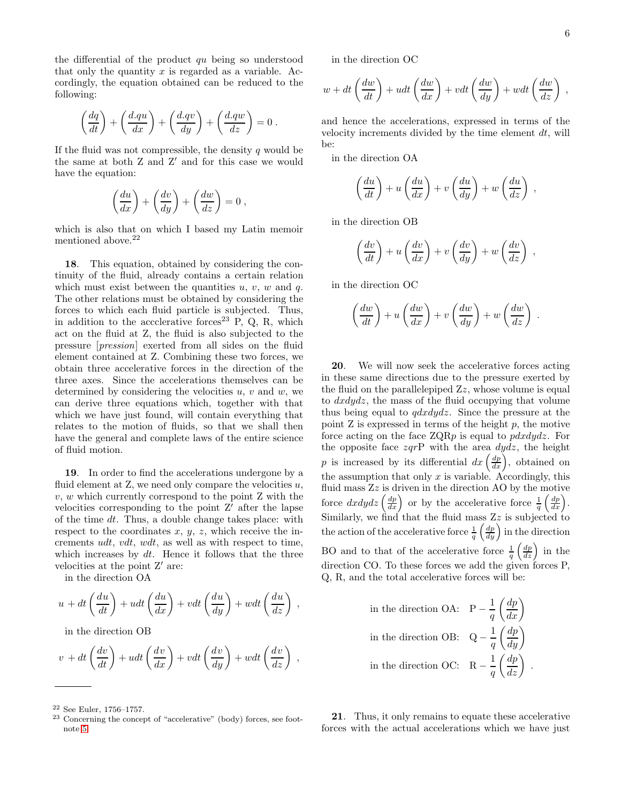the differential of the product  $qu$  being so understood that only the quantity  $x$  is regarded as a variable. Accordingly, the equation obtained can be reduced to the following:

$$
\left(\frac{dq}{dt}\right) + \left(\frac{d.qu}{dx}\right) + \left(\frac{d.qv}{dy}\right) + \left(\frac{d.qw}{dz}\right) = 0.
$$

If the fluid was not compressible, the density  $q$  would be the same at both Z and Z′ and for this case we would have the equation:

$$
\left(\frac{du}{dx}\right) + \left(\frac{dv}{dy}\right) + \left(\frac{dw}{dz}\right) = 0,
$$

which is also that on which I based my Latin memoir mentioned above.  $\!\!^{22}$ 

18. This equation, obtained by considering the continuity of the fluid, already contains a certain relation which must exist between the quantities  $u, v, w$  and  $q$ . The other relations must be obtained by considering the forces to which each fluid particle is subjected. Thus, in addition to the accclerative forces<sup>23</sup> P, Q, R, which act on the fluid at Z, the fluid is also subjected to the pressure [pression] exerted from all sides on the fluid element contained at Z. Combining these two forces, we obtain three accelerative forces in the direction of the three axes. Since the accelerations themselves can be determined by considering the velocities  $u, v$  and  $w$ , we can derive three equations which, together with that which we have just found, will contain everything that relates to the motion of fluids, so that we shall then have the general and complete laws of the entire science of fluid motion.

19. In order to find the accelerations undergone by a fluid element at  $Z$ , we need only compare the velocities  $u$ , v, w which currently correspond to the point Z with the velocities corresponding to the point  $Z'$  after the lapse of the time dt. Thus, a double change takes place: with respect to the coordinates  $x, y, z$ , which receive the increments udt, vdt, wdt, as well as with respect to time, which increases by  $dt$ . Hence it follows that the three velocities at the point Z′ are:

in the direction OA

$$
u + dt\left(\frac{du}{dt}\right) + udt\left(\frac{du}{dx}\right) + vdt\left(\frac{du}{dy}\right) + wdt\left(\frac{du}{dz}\right) ,
$$

in the direction OB

$$
v + dt\left(\frac{dv}{dt}\right) + udt\left(\frac{dv}{dx}\right) + vdt\left(\frac{dv}{dy}\right) + wdt\left(\frac{dv}{dz}\right) ,
$$

in the direction OC

$$
w + dt\left(\frac{dw}{dt}\right) + udt\left(\frac{dw}{dx}\right) + vdt\left(\frac{dw}{dy}\right) + wdt\left(\frac{dw}{dz}\right) ,
$$

and hence the accelerations, expressed in terms of the velocity increments divided by the time element  $dt$ , will be:

in the direction OA

$$
\left(\frac{du}{dt}\right) + u\left(\frac{du}{dx}\right) + v\left(\frac{du}{dy}\right) + w\left(\frac{du}{dz}\right) ,
$$

in the direction OB

$$
\left(\frac{dv}{dt}\right) + u\left(\frac{dv}{dx}\right) + v\left(\frac{dv}{dy}\right) + w\left(\frac{dv}{dz}\right) ,
$$

in the direction OC

$$
\left(\frac{dw}{dt}\right) + u\left(\frac{dw}{dx}\right) + v\left(\frac{dw}{dy}\right) + w\left(\frac{dw}{dz}\right).
$$

20. We will now seek the accelerative forces acting in these same directions due to the pressure exerted by the fluid on the parallelepiped  $Zz$ , whose volume is equal to dxdydz, the mass of the fluid occupying that volume thus being equal to qdxdydz. Since the pressure at the point  $Z$  is expressed in terms of the height  $p$ , the motive force acting on the face  $ZQRp$  is equal to  $pdxdydz$ . For the opposite face  $zqrP$  with the area  $dydz$ , the height p is increased by its differential  $dx \left(\frac{dp}{dx}\right)$ , obtained on the assumption that only  $x$  is variable. Accordingly, this fluid mass  $Zz$  is driven in the direction AO by the motive force  $dx dy dz \left(\frac{dp}{dx}\right)$  or by the accelerative force  $\frac{1}{q}\left(\frac{dp}{dx}\right)$ . Similarly, we find that the fluid mass  $Zz$  is subjected to the action of the accelerative force  $\frac{1}{q} \left( \frac{dp}{dy} \right)$  in the direction BO and to that of the accelerative force  $\frac{1}{q} \left( \frac{dp}{dz} \right)$  in the direction CO. To these forces we add the given forces P, Q, R, and the total accelerative forces will be:

in the direction OA: 
$$
P - \frac{1}{q} \left( \frac{dp}{dx} \right)
$$
  
in the direction OB:  $Q - \frac{1}{q} \left( \frac{dp}{dy} \right)$   
in the direction OC:  $R - \frac{1}{q} \left( \frac{dp}{dz} \right)$ 

.

21. Thus, it only remains to equate these accelerative forces with the actual accelerations which we have just

<sup>22</sup> See Euler, 1756–1757.

<sup>23</sup> Concerning the concept of "accelerative" (body) forces, see footnote 5.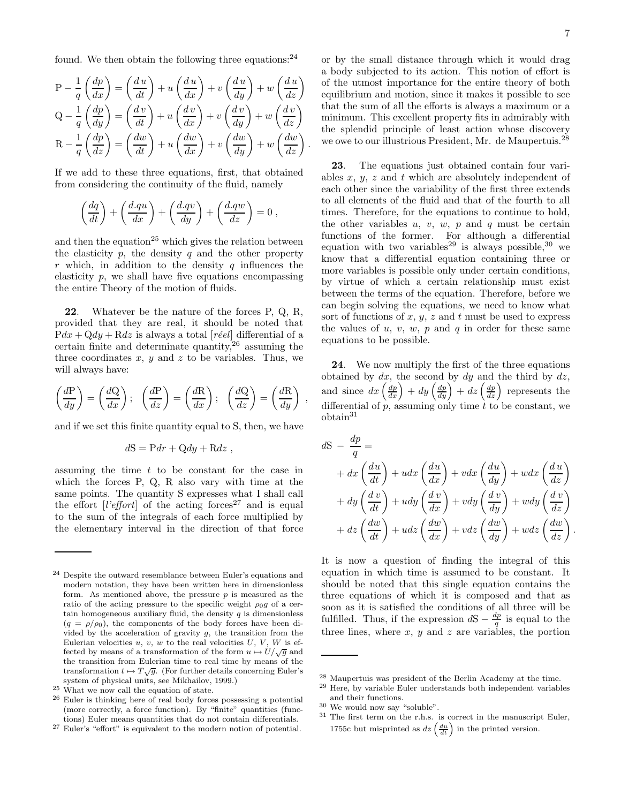7

.

found. We then obtain the following three equations: $^{24}$ 

$$
P - \frac{1}{q} \left( \frac{dp}{dx} \right) = \left( \frac{du}{dt} \right) + u \left( \frac{du}{dx} \right) + v \left( \frac{du}{dy} \right) + w \left( \frac{du}{dz} \right)
$$
  

$$
Q - \frac{1}{q} \left( \frac{dp}{dy} \right) = \left( \frac{dv}{dt} \right) + u \left( \frac{dv}{dx} \right) + v \left( \frac{dv}{dy} \right) + w \left( \frac{dv}{dz} \right)
$$
  

$$
R - \frac{1}{q} \left( \frac{dp}{dz} \right) = \left( \frac{dw}{dt} \right) + u \left( \frac{dw}{dx} \right) + v \left( \frac{dw}{dy} \right) + w \left( \frac{dw}{dz} \right)
$$

.

,

If we add to these three equations, first, that obtained from considering the continuity of the fluid, namely

$$
\left(\frac{dq}{dt}\right) + \left(\frac{d.qu}{dx}\right) + \left(\frac{d.qv}{dy}\right) + \left(\frac{d.qw}{dz}\right) = 0,
$$

and then the equation $25$  which gives the relation between the elasticity  $p$ , the density  $q$  and the other property r which, in addition to the density q influences the elasticity  $p$ , we shall have five equations encompassing the entire Theory of the motion of fluids.

22. Whatever be the nature of the forces P, Q, R, provided that they are real, it should be noted that  $Pdx + Qdy + Rdz$  is always a total [réel] differential of a certain finite and determinate quantity, $26$  assuming the three coordinates  $x, y$  and  $z$  to be variables. Thus, we will always have:

$$
\left(\frac{dP}{dy}\right) = \left(\frac{dQ}{dx}\right); \quad \left(\frac{dP}{dz}\right) = \left(\frac{dR}{dx}\right); \quad \left(\frac{dQ}{dz}\right) = \left(\frac{dR}{dy}\right)
$$

and if we set this finite quantity equal to S, then, we have

$$
dS = Pdr + Qdy + Rdz,
$$

assuming the time  $t$  to be constant for the case in which the forces P, Q, R also vary with time at the same points. The quantity S expresses what I shall call the effort  $[l'effort]$  of the acting forces<sup>27</sup> and is equal to the sum of the integrals of each force multiplied by the elementary interval in the direction of that force

<sup>27</sup> Euler's "effort" is equivalent to the modern notion of potential.

or by the small distance through which it would drag a body subjected to its action. This notion of effort is of the utmost importance for the entire theory of both equilibrium and motion, since it makes it possible to see that the sum of all the efforts is always a maximum or a minimum. This excellent property fits in admirably with the splendid principle of least action whose discovery we owe to our illustrious President, Mr. de Maupertuis.<sup>28</sup>

23. The equations just obtained contain four variables  $x, y, z$  and  $t$  which are absolutely independent of each other since the variability of the first three extends to all elements of the fluid and that of the fourth to all times. Therefore, for the equations to continue to hold, the other variables  $u, v, w, p$  and q must be certain functions of the former. For although a differential equation with two variables<sup>29</sup> is always possible,<sup>30</sup> we know that a differential equation containing three or more variables is possible only under certain conditions, by virtue of which a certain relationship must exist between the terms of the equation. Therefore, before we can begin solving the equations, we need to know what sort of functions of  $x, y, z$  and  $t$  must be used to express the values of  $u, v, w, p$  and  $q$  in order for these same equations to be possible.

24. We now multiply the first of the three equations obtained by  $dx$ , the second by  $dy$  and the third by  $dz$ , and since  $dx\left(\frac{dp}{dx}\right) + dy\left(\frac{dp}{dy}\right) + dz\left(\frac{dp}{dz}\right)$  represents the differential of  $\hat{p}$ , assuming only time  $\hat{t}$  to be constant, we  $obtain<sup>31</sup>$ 

$$
dS - \frac{dp}{q} =
$$
  
+  $dx \left(\frac{du}{dt}\right) + u dx \left(\frac{du}{dx}\right) + v dx \left(\frac{du}{dy}\right) + w dx \left(\frac{du}{dz}\right)$   
+  $dy \left(\frac{dv}{dt}\right) + u dy \left(\frac{dv}{dx}\right) + v dy \left(\frac{dv}{dy}\right) + w dy \left(\frac{dv}{dz}\right)$   
+  $dz \left(\frac{dw}{dt}\right) + u dz \left(\frac{dw}{dx}\right) + v dz \left(\frac{dw}{dy}\right) + w dz \left(\frac{dw}{dz}\right)$ 

It is now a question of finding the integral of this equation in which time is assumed to be constant. It should be noted that this single equation contains the three equations of which it is composed and that as soon as it is satisfied the conditions of all three will be fulfilled. Thus, if the expression  $dS - \frac{dp}{q}$  is equal to the three lines, where x, y and z are variables, the portion

 $^{30}$  We would now say "soluble".

<sup>24</sup> Despite the outward resemblance between Euler's equations and modern notation, they have been written here in dimensionless form. As mentioned above, the pressure  $p$  is measured as the ratio of the acting pressure to the specific weight  $\rho_0 q$  of a certain homogeneous auxiliary fluid, the density  $q$  is dimensionless  $(q = \rho/\rho_0)$ , the components of the body forces have been divided by the acceleration of gravity  $g$ , the transition from the Eulerian velocities  $u, v, w$  to the real velocities  $U, V, W$  is effected by means of a transformation of the form  $u \mapsto U/\sqrt{g}$  and the transition from Eulerian time to real time by means of the transformation  $t \mapsto T\sqrt{g}$ . (For further details concerning Euler's system of physical units, see Mikhailov, 1999.)

<sup>25</sup> What we now call the equation of state.

 $^{26}$  Euler is thinking here of real body forces possessing a potential (more correctly, a force function). By "finite" quantities (functions) Euler means quantities that do not contain differentials.

<sup>28</sup> Maupertuis was president of the Berlin Academy at the time.

<sup>29</sup> Here, by variable Euler understands both independent variables and their functions.

 $31$  The first term on the r.h.s. is correct in the manuscript Euler, 1755c but misprinted as  $dz \left(\frac{du}{dt}\right)$  in the printed version.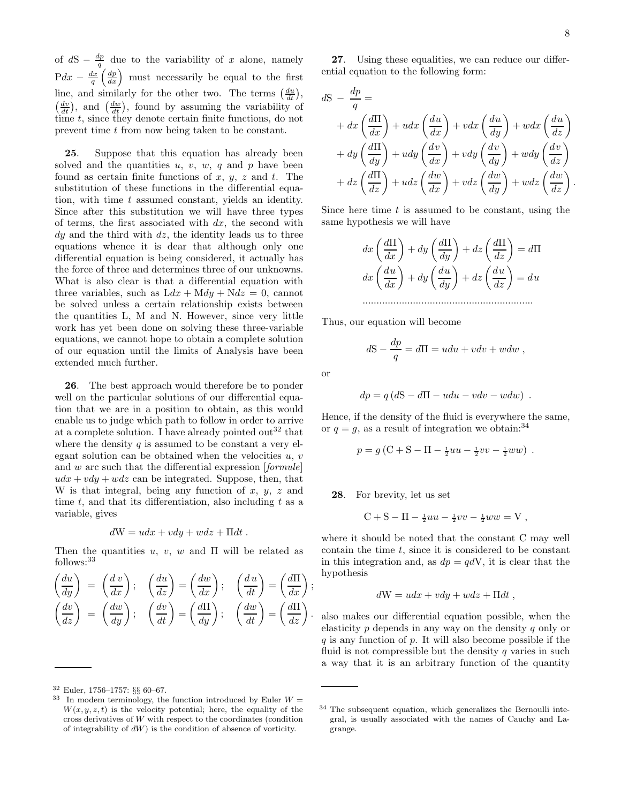of  $dS - \frac{dp}{q}$  due to the variability of x alone, namely  $Pdx - \frac{dx}{q}\left(\frac{dp}{dx}\right)$  must necessarily be equal to the first line, and similarly for the other two. The terms  $\left(\frac{du}{dt}\right)$ ,  $\left(\frac{dv}{dt}\right)$ , and  $\left(\frac{dw}{dt}\right)$ , found by assuming the variability of time t, since they denote certain finite functions, do not prevent time t from now being taken to be constant.

25. Suppose that this equation has already been solved and the quantities  $u, v, w, q$  and p have been found as certain finite functions of x,  $y$ , z and t. The substitution of these functions in the differential equation, with time t assumed constant, yields an identity. Since after this substitution we will have three types of terms, the first associated with  $dx$ , the second with  $dy$  and the third with  $dz$ , the identity leads us to three equations whence it is dear that although only one differential equation is being considered, it actually has the force of three and determines three of our unknowns. What is also clear is that a differential equation with three variables, such as  $Ldx + Mdy + Ndz = 0$ , cannot be solved unless a certain relationship exists between the quantities L, M and N. However, since very little work has yet been done on solving these three-variable equations, we cannot hope to obtain a complete solution of our equation until the limits of Analysis have been extended much further.

26. The best approach would therefore be to ponder well on the particular solutions of our differential equation that we are in a position to obtain, as this would enable us to judge which path to follow in order to arrive at a complete solution. I have already pointed out  $32$  that where the density  $q$  is assumed to be constant a very elegant solution can be obtained when the velocities  $u, v$ and  $w$  arc such that the differential expression  $[formula]$  $udx + vdy + wdz$  can be integrated. Suppose, then, that W is that integral, being any function of  $x, y, z$  and time  $t$ , and that its differentiation, also including  $t$  as a variable, gives

$$
dW = udx + vdy + wdz + \Pi dt.
$$

Then the quantities u, v, w and  $\Pi$  will be related as follows:<sup>33</sup>

$$
\begin{pmatrix}\n\frac{du}{dy}\n\end{pmatrix} = \begin{pmatrix}\n\frac{dv}{dx}\n\end{pmatrix}; \quad\n\begin{pmatrix}\n\frac{du}{dz}\n\end{pmatrix} = \begin{pmatrix}\n\frac{dw}{dx}\n\end{pmatrix}; \quad\n\begin{pmatrix}\n\frac{du}{dt}\n\end{pmatrix} = \begin{pmatrix}\n\frac{d\pi}{dx}\n\end{pmatrix};
$$
\n
$$
\begin{pmatrix}\n\frac{dv}{dz}\n\end{pmatrix} = \begin{pmatrix}\n\frac{dw}{dy}\n\end{pmatrix}; \quad\n\begin{pmatrix}\n\frac{dv}{dt}\n\end{pmatrix} = \begin{pmatrix}\n\frac{d\pi}{dt}\n\end{pmatrix} = \begin{pmatrix}\n\frac{d\pi}{dz}\n\end{pmatrix}.
$$

27. Using these equalities, we can reduce our differential equation to the following form:

$$
dS - \frac{dp}{q} =
$$
  
+  $dx \left(\frac{dH}{dx}\right) + u dx \left(\frac{du}{dx}\right) + v dx \left(\frac{du}{dy}\right) + w dx \left(\frac{du}{dz}\right)$   
+  $dy \left(\frac{dH}{dy}\right) + u dy \left(\frac{dv}{dx}\right) + v dy \left(\frac{dv}{dy}\right) + w dy \left(\frac{dv}{dz}\right)$   
+  $dz \left(\frac{dH}{dz}\right) + u dz \left(\frac{dw}{dx}\right) + v dz \left(\frac{dw}{dy}\right) + w dz \left(\frac{dw}{dz}\right).$ 

Since here time  $t$  is assumed to be constant, using the same hypothesis we will have

$$
dx\left(\frac{d\Pi}{dx}\right) + dy\left(\frac{d\Pi}{dy}\right) + dz\left(\frac{d\Pi}{dz}\right) = d\Pi
$$

$$
dx\left(\frac{du}{dx}\right) + dy\left(\frac{du}{dy}\right) + dz\left(\frac{du}{dz}\right) = du
$$

Thus, our equation will become

$$
dS - \frac{dp}{q} = d\Pi = u du + v dv + w dw ,
$$

or

$$
dp = q (dS - d\Pi - udu - vdv - wdw) .
$$

Hence, if the density of the fluid is everywhere the same, or  $q = g$ , as a result of integration we obtain:<sup>34</sup>

$$
p = g(C + S - \Pi - \frac{1}{2}uu - \frac{1}{2}vv - \frac{1}{2}ww).
$$

28. For brevity, let us set

$$
C + S - \Pi - \frac{1}{2}uu - \frac{1}{2}vv - \frac{1}{2}ww = V
$$
,

where it should be noted that the constant C may well contain the time  $t$ , since it is considered to be constant in this integration and, as  $dp = qdV$ , it is clear that the hypothesis

$$
dW = udx + vdy + wdz + \Pi dt,
$$

also makes our differential equation possible, when the elasticity  $p$  depends in any way on the density  $q$  only or  $q$  is any function of  $p$ . It will also become possible if the fluid is not compressible but the density  $q$  varies in such a way that it is an arbitrary function of the quantity

<sup>32</sup> Euler, 1756–1757: §§ 60–67.

 $33$  In modem terminology, the function introduced by Euler  $W =$  $W(x, y, z, t)$  is the velocity potential; here, the equality of the cross derivatives of W with respect to the coordinates (condition of integrability of  $dW$ ) is the condition of absence of vorticity.

<sup>34</sup> The subsequent equation, which generalizes the Bernoulli integral, is usually associated with the names of Cauchy and Lagrange.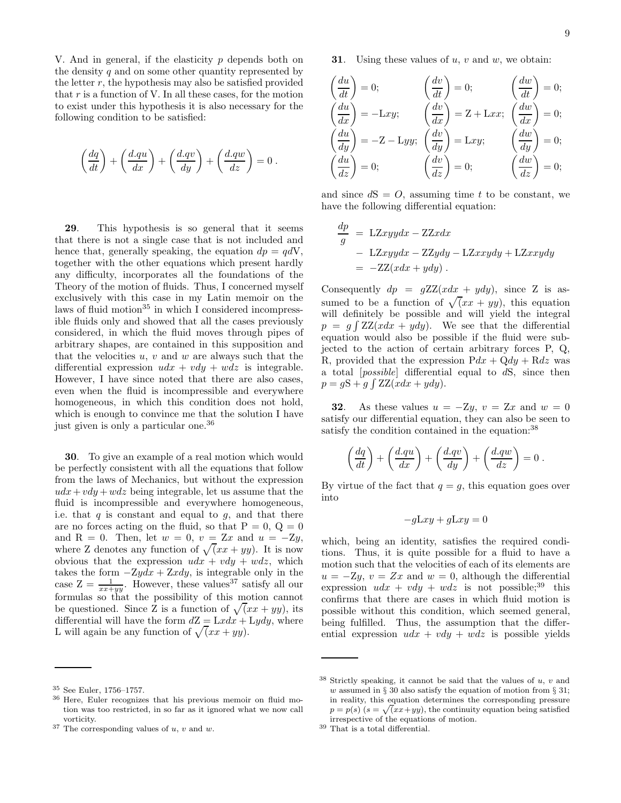V. And in general, if the elasticity  $p$  depends both on the density q and on some other quantity represented by the letter  $r$ , the hypothesis may also be satisfied provided that  $r$  is a function of V. In all these cases, for the motion to exist under this hypothesis it is also necessary for the following condition to be satisfied:

$$
\left(\frac{dq}{dt}\right) + \left(\frac{d.qu}{dx}\right) + \left(\frac{d.qv}{dy}\right) + \left(\frac{d.qw}{dz}\right) = 0.
$$

29. This hypothesis is so general that it seems that there is not a single case that is not included and hence that, generally speaking, the equation  $dp = qdV$ , together with the other equations which present hardly any difficulty, incorporates all the foundations of the Theory of the motion of fluids. Thus, I concerned myself exclusively with this case in my Latin memoir on the laws of fluid motion $35$  in which I considered incompressible fluids only and showed that all the cases previously considered, in which the fluid moves through pipes of arbitrary shapes, are contained in this supposition and that the velocities  $u, v$  and  $w$  are always such that the differential expression  $udx + vdy + wdz$  is integrable. However, I have since noted that there are also cases, even when the fluid is incompressible and everywhere homogeneous, in which this condition does not hold, which is enough to convince me that the solution I have just given is only a particular one.<sup>36</sup>

30. To give an example of a real motion which would be perfectly consistent with all the equations that follow from the laws of Mechanics, but without the expression  $udx+vdy+wdz$  being integrable, let us assume that the fluid is incompressible and everywhere homogeneous, i.e. that  $q$  is constant and equal to  $q$ , and that there are no forces acting on the fluid, so that  $P = 0$ ,  $Q = 0$ and R = 0. Then, let  $w = 0$ ,  $v = \mathbb{Z}x$  and  $u = -\mathbb{Z}y$ , where Z denotes any function of  $\sqrt{(xx + yy)}$ . It is now obvious that the expression  $udx + vdy + wdz$ , which takes the form  $-Zydx + Zxdy$ , is integrable only in the case  $Z = \frac{1}{xx+yy}$ . However, these values<sup>37</sup> satisfy all our formulas so that the possibility of this motion cannot be questioned. Since Z is a function of  $\sqrt{(xx + yy)}$ , its differential will have the form  $dZ = Lxdx + Lydy$ , where L will again be any function of  $\sqrt{(xx + yy)}$ .

**31**. Using these values of  $u, v$  and  $w$ , we obtain:

$$
\begin{aligned}\n\left(\frac{du}{dt}\right) &= 0; & \left(\frac{dv}{dt}\right) &= 0; & \left(\frac{dw}{dt}\right) &= 0;\\
\left(\frac{du}{dx}\right) &= -Lxy; & \left(\frac{dv}{dx}\right) &= Z + Lxx; & \left(\frac{dw}{dx}\right) &= 0;\\
\left(\frac{du}{dy}\right) &= -Z - Lyy; & \left(\frac{dv}{dy}\right) &= Lxy; & \left(\frac{dw}{dy}\right) &= 0;\\
\left(\frac{du}{dz}\right) &= 0; & \left(\frac{dv}{dz}\right) &= 0; & \left(\frac{dw}{dz}\right) &= 0;\n\end{aligned}
$$

and since  $dS = O$ , assuming time t to be constant, we have the following differential equation:

$$
\frac{dp}{g} = LZxyydx - ZZxdx
$$
  
- LZxyydx - ZZydy - LZxxydy + LZxxydy  
= -ZZ(xdx + ydy).

Consequently  $dp = gZZ(xdx + ydy)$ , since Z is assumed to be a function of  $\sqrt{(xx + yy)}$ , this equation will definitely be possible and will yield the integral  $p = g \int ZZ(xdx + ydy)$ . We see that the differential equation would also be possible if the fluid were subjected to the action of certain arbitrary forces P, Q, R, provided that the expression  $Pdx + Qdy + Rdz$  was a total [possible] differential equal to dS, since then  $p = gS + g \int ZZ(x dx + y dy).$ 

**32.** As these values  $u = -\mathbb{Z}y$ ,  $v = \mathbb{Z}x$  and  $w = 0$ satisfy our differential equation, they can also be seen to satisfy the condition contained in the equation:<sup>38</sup>

$$
\left(\frac{dq}{dt}\right) + \left(\frac{d.qu}{dx}\right) + \left(\frac{d.qv}{dy}\right) + \left(\frac{d.qw}{dz}\right) = 0.
$$

By virtue of the fact that  $q = q$ , this equation goes over into

$$
-gLxy + gLxy = 0
$$

which, being an identity, satisfies the required conditions. Thus, it is quite possible for a fluid to have a motion such that the velocities of each of its elements are  $u = -\mathbf{Z}y, v = \mathbf{Z}x$  and  $w = 0$ , although the differential expression  $udx + vdy + wdz$  is not possible;<sup>39</sup> this confirms that there are cases in which fluid motion is possible without this condition, which seemed general, being fulfilled. Thus, the assumption that the differential expression  $udx + vdy + wdz$  is possible yields

<sup>35</sup> See Euler, 1756–1757.

<sup>36</sup> Here, Euler recognizes that his previous memoir on fluid motion was too restricted, in so far as it ignored what we now call vorticity.

 $37$  The corresponding values of u, v and w.

 $38$  Strictly speaking, it cannot be said that the values of  $u, v$  and w assumed in  $\S 30$  also satisfy the equation of motion from  $\S 31$ ; in reality, this equation determines the corresponding pressure  $p = p(s)$   $(s = \sqrt{(xx+yy)}$ , the continuity equation being satisfied irrespective of the equations of motion.

<sup>39</sup> That is a total differential.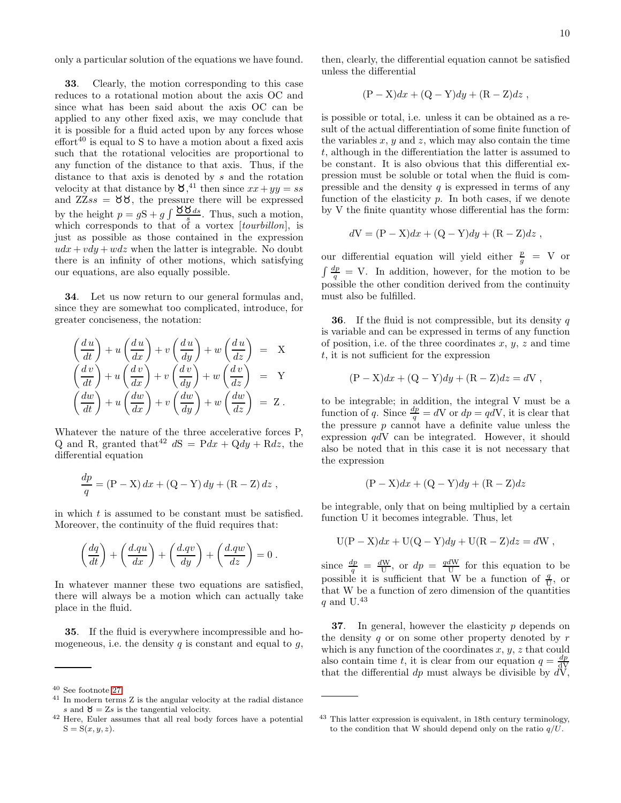only a particular solution of the equations we have found.

33. Clearly, the motion corresponding to this case reduces to a rotational motion about the axis OC and since what has been said about the axis OC can be applied to any other fixed axis, we may conclude that it is possible for a fluid acted upon by any forces whose  $\mathrm{effort}^{40}$  is equal to S to have a motion about a fixed axis such that the rotational velocities are proportional to any function of the distance to that axis. Thus, if the distance to that axis is denoted by s and the rotation velocity at that distance by  $\mathcal{S},^{41}$  then since  $xx+yy=ss$ and  $ZZss = \mathcal{O}\mathcal{O}$ , the pressure there will be expressed by the height  $p = gS + g \int \frac{\mathcal{S} \mathcal{O}_{ds}}{s}$ . Thus, such a motion, which corresponds to that of a vortex [tourbillon], is just as possible as those contained in the expression  $udx + vdy + wdz$  when the latter is integrable. No doubt there is an infinity of other motions, which satisfying our equations, are also equally possible.

34. Let us now return to our general formulas and, since they are somewhat too complicated, introduce, for greater conciseness, the notation:

$$
\begin{aligned}\n\left(\frac{du}{dt}\right) + u\left(\frac{du}{dx}\right) + v\left(\frac{du}{dy}\right) + w\left(\frac{du}{dz}\right) &= X \\
\left(\frac{dv}{dt}\right) + u\left(\frac{dv}{dx}\right) + v\left(\frac{dv}{dy}\right) + w\left(\frac{dv}{dz}\right) &= Y \\
\left(\frac{dw}{dt}\right) + u\left(\frac{dw}{dx}\right) + v\left(\frac{dw}{dy}\right) + w\left(\frac{dw}{dz}\right) &= Z.\n\end{aligned}
$$

Whatever the nature of the three accelerative forces P, Q and R, granted that<sup>42</sup>  $dS = Pdx + Qdy + Rdz$ , the differential equation

$$
\frac{dp}{q} = (P - X) dx + (Q - Y) dy + (R - Z) dz,
$$

in which t is assumed to be constant must be satisfied. Moreover, the continuity of the fluid requires that:

$$
\left(\frac{dq}{dt}\right) + \left(\frac{d.qu}{dx}\right) + \left(\frac{d.qv}{dy}\right) + \left(\frac{d.qw}{dz}\right) = 0.
$$

In whatever manner these two equations are satisfied, there will always be a motion which can actually take place in the fluid.

35. If the fluid is everywhere incompressible and homogeneous, i.e. the density  $q$  is constant and equal to  $q$ , then, clearly, the differential equation cannot be satisfied unless the differential

$$
(P - X)dx + (Q - Y)dy + (R - Z)dz,
$$

is possible or total, i.e. unless it can be obtained as a result of the actual differentiation of some finite function of the variables  $x, y$  and  $z$ , which may also contain the time t, although in the differentiation the latter is assumed to be constant. It is also obvious that this differential expression must be soluble or total when the fluid is compressible and the density  $q$  is expressed in terms of any function of the elasticity  $p$ . In both cases, if we denote by V the finite quantity whose differential has the form:

$$
dV = (P - X)dx + (Q - Y)dy + (R - Z)dz,
$$

our differential equation will yield either  $\frac{p}{g}$  = V or  $\int \frac{dp}{q}$  = V. In addition, however, for the motion to be possible the other condition derived from the continuity must also be fulfilled.

**36.** If the fluid is not compressible, but its density  $q$ is variable and can be expressed in terms of any function of position, i.e. of the three coordinates  $x, y, z$  and time  $t$ , it is not sufficient for the expression

$$
(P - X)dx + (Q - Y)dy + (R - Z)dz = dV,
$$

to be integrable; in addition, the integral V must be a function of q. Since  $\frac{dp}{q} = dV$  or  $dp = qdV$ , it is clear that the pressure  $p$  cannot have a definite value unless the expression qdV can be integrated. However, it should also be noted that in this case it is not necessary that the expression

$$
(P - X)dx + (Q - Y)dy + (R - Z)dz
$$

be integrable, only that on being multiplied by a certain function U it becomes integrable. Thus, let

$$
U(P - X)dx + U(Q - Y)dy + U(R - Z)dz = dW,
$$

since  $\frac{dp}{q} = \frac{dW}{U}$ , or  $dp = \frac{qdW}{U}$  for this equation to be possible it is sufficient that W be a function of  $\frac{q}{U}$ , or that W be a function of zero dimension of the quantities  $q$  and U.<sup>43</sup>

**37.** In general, however the elasticity  $p$  depends on the density q or on some other property denoted by  $r$ which is any function of the coordinates  $x, y, z$  that could also contain time t, it is clear from our equation  $q = \frac{dp}{dV}$ dV that the differential dp must always be divisible by  $\overrightarrow{dV}$ ,

<sup>40</sup> See footnote 27.

<sup>41</sup> In modern terms Z is the angular velocity at the radial distance s and  $\mathcal{B} = Zs$  is the tangential velocity.

<sup>42</sup> Here, Euler assumes that all real body forces have a potential  $S = S(x, y, z).$ 

<sup>43</sup> This latter expression is equivalent, in 18th century terminology, to the condition that W should depend only on the ratio  $q/U$ .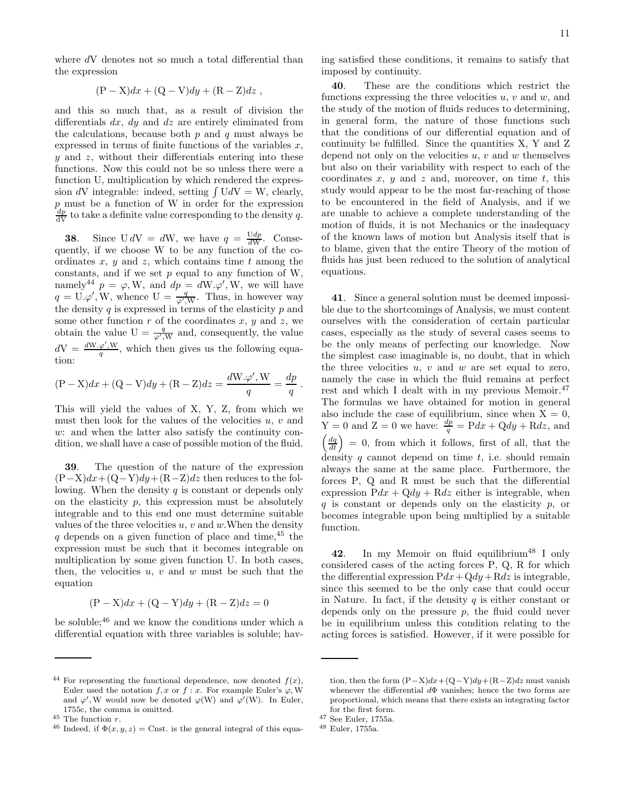where dV denotes not so much a total differential than the expression

$$
(P - X)dx + (Q - V)dy + (R - Z)dz,
$$

and this so much that, as a result of division the differentials  $dx$ ,  $dy$  and  $dz$  are entirely eliminated from the calculations, because both  $p$  and  $q$  must always be expressed in terms of finite functions of the variables  $x$ ,  $y$  and  $z$ , without their differentials entering into these functions. Now this could not be so unless there were a function U, multiplication by which rendered the expression dV integrable: indeed, setting  $\int U dV = W$ , clearly, p must be a function of W in order for the expression  $\frac{dp}{dV}$  to take a definite value corresponding to the density q.

**38.** Since  $\overline{U}dV = dW$ , we have  $q = \frac{\overline{U}dp}{dW}$ . Consequently, if we choose W to be any function of the coordinates  $x, y$  and  $z$ , which contains time  $t$  among the constants, and if we set  $p$  equal to any function of W, namely<sup>44</sup>  $p = \varphi, W$ , and  $dp = dW \cdot \varphi'$ , we will have  $q = U \varphi', W$ , whence  $U = \frac{q}{\varphi', W}$ . Thus, in however way the density  $q$  is expressed in terms of the elasticity  $p$  and some other function r of the coordinates x, y and z, we obtain the value  $U = \frac{q}{\varphi', W}$  and, consequently, the value  $dV = \frac{dW \cdot \varphi', W}{q}$ , which then gives us the following equation:

$$
(P - X)dx + (Q - V)dy + (R - Z)dz = \frac{dW \cdot \varphi', W}{q} = \frac{dp}{q}
$$

This will yield the values of X, Y, Z, from which we must then look for the values of the velocities  $u, v$  and w: and when the latter also satisfy the continuity condition, we shall have a case of possible motion of the fluid.

39. The question of the nature of the expression  $(P-X)dx+(Q-Y)dy+(R-Z)dz$  then reduces to the following. When the density  $q$  is constant or depends only on the elasticity  $p$ , this expression must be absolutely integrable and to this end one must determine suitable values of the three velocities  $u, v$  and  $w$ . When the density  $q$  depends on a given function of place and time,  $45$  the expression must be such that it becomes integrable on multiplication by some given function U. In both cases, then, the velocities  $u, v$  and  $w$  must be such that the equation

$$
(P - X)dx + (Q - Y)dy + (R - Z)dz = 0
$$

be soluble;  $46$  and we know the conditions under which a differential equation with three variables is soluble; having satisfied these conditions, it remains to satisfy that imposed by continuity.

40. These are the conditions which restrict the functions expressing the three velocities  $u, v$  and  $w$ , and the study of the motion of fluids reduces to determining, in general form, the nature of those functions such that the conditions of our differential equation and of continuity be fulfilled. Since the quantities X, Y and Z depend not only on the velocities  $u, v$  and  $w$  themselves but also on their variability with respect to each of the coordinates x, y and z and, moreover, on time t, this study would appear to be the most far-reaching of those to be encountered in the field of Analysis, and if we are unable to achieve a complete understanding of the motion of fluids, it is not Mechanics or the inadequacy of the known laws of motion but Analysis itself that is to blame, given that the entire Theory of the motion of fluids has just been reduced to the solution of analytical equations.

41. Since a general solution must be deemed impossible due to the shortcomings of Analysis, we must content ourselves with the consideration of certain particular cases, especially as the study of several cases seems to be the only means of perfecting our knowledge. Now the simplest case imaginable is, no doubt, that in which the three velocities  $u, v$  and  $w$  are set equal to zero, namely the case in which the fluid remains at perfect rest and which I dealt with in my previous Memoir.<sup>47</sup> The formulas we have obtained for motion in general also include the case of equilibrium, since when  $X = 0$ ,  $Y = 0$  and  $Z = 0$  we have:  $\frac{dp}{q} = Pdx + Qdy + Rdz$ , and  $\left(\frac{dq}{dt}\right) = 0$ , from which it follows, first of all, that the density  $q$  cannot depend on time  $t$ , i.e. should remain always the same at the same place. Furthermore, the forces P, Q and R must be such that the differential expression  $Pdx + Qdy + Rdz$  either is integrable, when  $q$  is constant or depends only on the elasticity  $p$ , or becomes integrable upon being multiplied by a suitable function.

42. In my Memoir on fluid equilibrium<sup>48</sup> I only considered cases of the acting forces P, Q, R for which the differential expression  $Pdx+Qdy+Rdz$  is integrable, since this seemed to be the only case that could occur in Nature. In fact, if the density  $q$  is either constant or depends only on the pressure  $p$ , the fluid could never be in equilibrium unless this condition relating to the acting forces is satisfied. However, if it were possible for

.

<sup>&</sup>lt;sup>44</sup> For representing the functional dependence, now denoted  $f(x)$ , Euler used the notation f, x or f : x. For example Euler's  $\varphi$ , W and  $\varphi'$ , W would now be denoted  $\varphi(W)$  and  $\varphi'(W)$ . In Euler, 1755c, the comma is omitted.

 $^{45}$  The function  $r.$ 

<sup>&</sup>lt;sup>46</sup> Indeed, if  $\Phi(x, y, z) =$ Cnst. is the general integral of this equa-

tion, then the form  $(P-X)dx+(Q-Y)dy+(R-Z)dz$  must vanish whenever the differential  $d\Phi$  vanishes; hence the two forms are proportional, which means that there exists an integrating factor for the first form.

 $^{47}$  See Euler, 1755a.

<sup>48</sup> Euler, 1755a.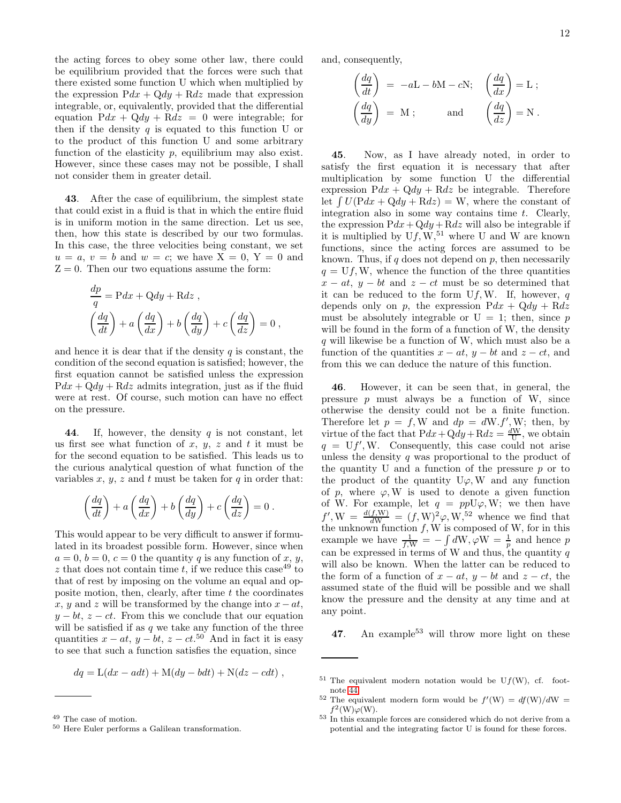the acting forces to obey some other law, there could be equilibrium provided that the forces were such that there existed some function U which when multiplied by the expression  $Pdx + Qdy + Rdz$  made that expression integrable, or, equivalently, provided that the differential equation  $Pdx + Qdy + Rdz = 0$  were integrable; for then if the density  $q$  is equated to this function U or to the product of this function U and some arbitrary function of the elasticity  $p$ , equilibrium may also exist. However, since these cases may not be possible, I shall not consider them in greater detail.

43. After the case of equilibrium, the simplest state that could exist in a fluid is that in which the entire fluid is in uniform motion in the same direction. Let us see, then, how this state is described by our two formulas. In this case, the three velocities being constant, we set  $u = a, v = b$  and  $w = c$ ; we have  $X = 0, Y = 0$  and  $Z = 0$ . Then our two equations assume the form:

$$
\frac{dp}{q} = Pdx + Qdy + Rdz ,
$$

$$
\left(\frac{dq}{dt}\right) + a\left(\frac{dq}{dx}\right) + b\left(\frac{dq}{dy}\right) + c\left(\frac{dq}{dz}\right) = 0 ,
$$

and hence it is dear that if the density  $q$  is constant, the condition of the second equation is satisfied; however, the first equation cannot be satisfied unless the expression  $Pdx + Qdy + Rdz$  admits integration, just as if the fluid were at rest. Of course, such motion can have no effect on the pressure.

44. If, however, the density  $q$  is not constant, let us first see what function of x, y, z and t it must be for the second equation to be satisfied. This leads us to the curious analytical question of what function of the variables  $x, y, z$  and  $t$  must be taken for  $q$  in order that:

$$
\left(\frac{dq}{dt}\right) + a\left(\frac{dq}{dx}\right) + b\left(\frac{dq}{dy}\right) + c\left(\frac{dq}{dz}\right) = 0.
$$

This would appear to be very difficult to answer if formulated in its broadest possible form. However, since when  $a = 0, b = 0, c = 0$  the quantity q is any function of x, y, z that does not contain time t, if we reduce this case<sup>49</sup> to that of rest by imposing on the volume an equal and opposite motion, then, clearly, after time  $t$  the coordinates x, y and z will be transformed by the change into  $x - at$ ,  $y - bt$ ,  $z - ct$ . From this we conclude that our equation will be satisfied if as  $q$  we take any function of the three quantities  $x - at$ ,  $y - bt$ ,  $z - ct$ .<sup>50</sup> And in fact it is easy to see that such a function satisfies the equation, since

$$
dq = L(dx - adt) + M(dy - bdt) + N(dz - cdt),
$$

and, consequently,

$$
\left(\frac{dq}{dt}\right) = -aL - bM - cN; \quad \left(\frac{dq}{dx}\right) = L;
$$
\n
$$
\left(\frac{dq}{dy}\right) = M; \quad \text{and} \quad \left(\frac{dq}{dz}\right) = N.
$$

45. Now, as I have already noted, in order to satisfy the first equation it is necessary that after multiplication by some function U the differential expression  $Pdx + Qdy + Rdz$  be integrable. Therefore let  $\int U(Pdx + Qdy + Rdz) = W$ , where the constant of integration also in some way contains time  $t$ . Clearly, the expression  $Pdx + Qdy + Rdz$  will also be integrable if it is multiplied by  $Uf$ ,  $W$ ,  $^{51}$  where U and W are known functions, since the acting forces are assumed to be known. Thus, if  $q$  does not depend on  $p$ , then necessarily  $q = Uf$ , W, whence the function of the three quantities  $x - at$ ,  $y - bt$  and  $z - ct$  must be so determined that it can be reduced to the form  $Uf, W$ . If, however, q depends only on p, the expression  $Pdx + Qdy + Rdz$ must be absolutely integrable or  $U = 1$ ; then, since p will be found in the form of a function of W, the density q will likewise be a function of W, which must also be a function of the quantities  $x - at$ ,  $y - bt$  and  $z - ct$ , and from this we can deduce the nature of this function.

46. However, it can be seen that, in general, the pressure  $p$  must always be a function of W, since otherwise the density could not be a finite function. Therefore let  $p = f$ , W and  $dp = dW \cdot f'$ , W; then, by virtue of the fact that  $Pdx + Qdy + Rdz = \frac{dW}{U}$ , we obtain  $q = Uf', W.$  Consequently, this case could not arise unless the density  $q$  was proportional to the product of the quantity U and a function of the pressure  $p$  or to the product of the quantity  $U\varphi$ , W and any function of p, where  $\varphi$ , W is used to denote a given function of W. For example, let  $q = pp\cup \varphi$ , W; we then have  $f'$ ,  $W = \frac{d(f,W)}{dW} = (f,W)^2 \varphi$ ,  $W$ <sup>52</sup>, whence we find that the unknown function  $f, W$  is composed of W, for in this example we have  $\frac{1}{f,W} = -\int dW, \varphi W = \frac{1}{p}$  and hence p can be expressed in terms of W and thus, the quantity  $q$ will also be known. When the latter can be reduced to the form of a function of  $x - at$ ,  $y - bt$  and  $z - ct$ , the assumed state of the fluid will be possible and we shall know the pressure and the density at any time and at any point.

47. An example<sup>53</sup> will throw more light on these

<sup>49</sup> The case of motion.

<sup>50</sup> Here Euler performs a Galilean transformation.

 $51$  The equivalent modern notation would be U $f(W)$ , cf. footnote 44.

<sup>&</sup>lt;sup>52</sup> The equivalent modern form would be  $f'(W) = df(W)/dW =$  $f^2(W) \varphi(W)$ .

<sup>53</sup> In this example forces are considered which do not derive from a potential and the integrating factor U is found for these forces.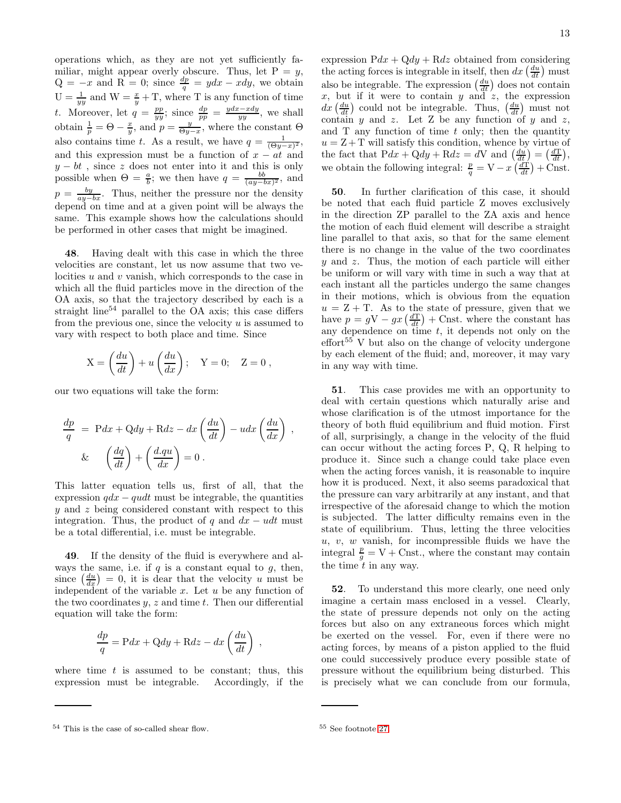operations which, as they are not yet sufficiently familiar, might appear overly obscure. Thus, let  $P = y$ ,  $Q = -x$  and  $R = 0$ ; since  $\frac{dp}{q} = ydx - xdy$ , we obtain  $U = \frac{1}{yy}$  and  $W = \frac{x}{y} + T$ , where T is any function of time t. Moreover, let  $q = \frac{pp}{yy}$ ; since  $\frac{dp}{pp} = \frac{ydx - xdy}{yy}$ , we shall obtain  $\frac{1}{p} = \Theta - \frac{x}{y}$ , and  $p = \frac{y}{\Theta y - x}$ , where the constant  $\Theta$ also contains time t. As a result, we have  $q = \frac{1}{(\Theta y - x)^2}$ , and this expression must be a function of  $x - at$  and  $y - bt$ , since z does not enter into it and this is only possible when  $\Theta = \frac{a}{b}$ ; we then have  $q = \frac{bb}{(ay-bx)^2}$ , and  $p = \frac{by}{ay-bx}$ . Thus, neither the pressure nor the density depend on time and at a given point will be always the same. This example shows how the calculations should be performed in other cases that might be imagined.

48. Having dealt with this case in which the three velocities are constant, let us now assume that two velocities u and v vanish, which corresponds to the case in which all the fluid particles move in the direction of the OA axis, so that the trajectory described by each is a straight line<sup>54</sup> parallel to the OA axis; this case differs from the previous one, since the velocity  $u$  is assumed to vary with respect to both place and time. Since

$$
X = \left(\frac{du}{dt}\right) + u\left(\frac{du}{dx}\right); \quad Y = 0; \quad Z = 0,
$$

our two equations will take the form:

$$
\frac{dp}{q} = Pdx + Qdy + Rdz - dx \left(\frac{du}{dt}\right) - u dx \left(\frac{du}{dx}\right),
$$
  
& 
$$
\left(\frac{dq}{dt}\right) + \left(\frac{d.qu}{dx}\right) = 0.
$$

This latter equation tells us, first of all, that the expression  $qdx - qudt$  must be integrable, the quantities y and z being considered constant with respect to this integration. Thus, the product of q and  $dx - u dt$  must be a total differential, i.e. must be integrable.

49. If the density of the fluid is everywhere and always the same, i.e. if  $q$  is a constant equal to  $g$ , then, since  $\left(\frac{du}{dx}\right) = 0$ , it is dear that the velocity u must be independent of the variable  $x$ . Let  $u$  be any function of the two coordinates  $y, z$  and time  $t$ . Then our differential equation will take the form:

$$
\frac{dp}{q} = Pdx + Qdy + Rdz - dx\left(\frac{du}{dt}\right) ,
$$

where time  $t$  is assumed to be constant; thus, this expression must be integrable. Accordingly, if the

expression  $Pdx + Qdy + Rdz$  obtained from considering the acting forces is integrable in itself, then  $dx \left(\frac{du}{dt}\right)$  must also be integrable. The expression  $\left(\frac{du}{dt}\right)$  does not contain  $x$ , but if it were to contain  $y$  and  $z$ , the expression  $dx\left(\frac{du}{dt}\right)$  could not be integrable. Thus,  $\left(\frac{du}{dt}\right)$  must not contain y and z. Let Z be any function of y and z, and  $T$  any function of time  $t$  only; then the quantity  $u = Z + T$  will satisfy this condition, whence by virtue of the fact that  $Pdx + Qdy + Rdz = dV$  and  $\left(\frac{du}{dt}\right) = \left(\frac{dT}{dt}\right)$ , we obtain the following integral:  $\frac{p}{q} = V - x \left( \frac{d\mathbf{T}}{dt} \right) + C$  nst.

50. In further clarification of this case, it should be noted that each fluid particle Z moves exclusively in the direction ZP parallel to the ZA axis and hence the motion of each fluid element will describe a straight line parallel to that axis, so that for the same element there is no change in the value of the two coordinates y and z. Thus, the motion of each particle will either be uniform or will vary with time in such a way that at each instant all the particles undergo the same changes in their motions, which is obvious from the equation  $u = Z + T$ . As to the state of pressure, given that we have  $p = gV - gx\left(\frac{dT}{dt}\right) + \text{Const.}$  where the constant has any dependence on time  $t$ , it depends not only on the effort<sup>55</sup> V but also on the change of velocity undergone by each element of the fluid; and, moreover, it may vary in any way with time.

51. This case provides me with an opportunity to deal with certain questions which naturally arise and whose clarification is of the utmost importance for the theory of both fluid equilibrium and fluid motion. First of all, surprisingly, a change in the velocity of the fluid can occur without the acting forces P, Q, R helping to produce it. Since such a change could take place even when the acting forces vanish, it is reasonable to inquire how it is produced. Next, it also seems paradoxical that the pressure can vary arbitrarily at any instant, and that irrespective of the aforesaid change to which the motion is subjected. The latter difficulty remains even in the state of equilibrium. Thus, letting the three velocities  $u, v, w$  vanish, for incompressible fluids we have the integral  $\frac{p}{g} = V + \text{Const.}$ , where the constant may contain the time  $\overline{t}$  in any way.

52. To understand this more clearly, one need only imagine a certain mass enclosed in a vessel. Clearly, the state of pressure depends not only on the acting forces but also on any extraneous forces which might be exerted on the vessel. For, even if there were no acting forces, by means of a piston applied to the fluid one could successively produce every possible state of pressure without the equilibrium being disturbed. This is precisely what we can conclude from our formula,

<sup>54</sup> This is the case of so-called shear flow.

<sup>55</sup> See footnote 27.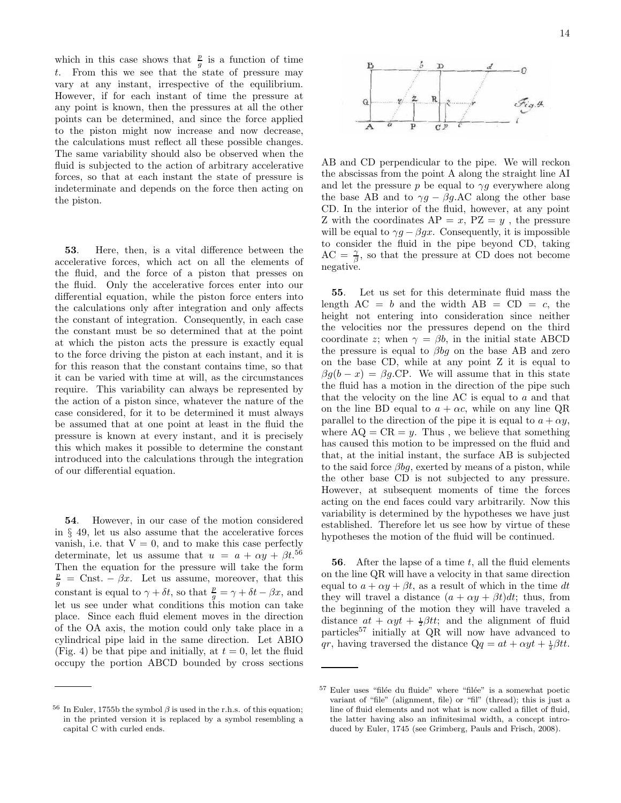which in this case shows that  $\frac{p}{q}$  is a function of time t. From this we see that the state of pressure may vary at any instant, irrespective of the equilibrium. However, if for each instant of time the pressure at any point is known, then the pressures at all the other points can be determined, and since the force applied to the piston might now increase and now decrease, the calculations must reflect all these possible changes. The same variability should also be observed when the fluid is subjected to the action of arbitrary accelerative forces, so that at each instant the state of pressure is indeterminate and depends on the force then acting on the piston.

53. Here, then, is a vital difference between the accelerative forces, which act on all the elements of the fluid, and the force of a piston that presses on the fluid. Only the accelerative forces enter into our differential equation, while the piston force enters into the calculations only after integration and only affects the constant of integration. Consequently, in each case the constant must be so determined that at the point at which the piston acts the pressure is exactly equal to the force driving the piston at each instant, and it is for this reason that the constant contains time, so that it can be varied with time at will, as the circumstances require. This variability can always be represented by the action of a piston since, whatever the nature of the case considered, for it to be determined it must always be assumed that at one point at least in the fluid the pressure is known at every instant, and it is precisely this which makes it possible to determine the constant introduced into the calculations through the integration of our differential equation.

54. However, in our case of the motion considered in § 49, let us also assume that the accelerative forces vanish, i.e. that  $V = 0$ , and to make this case perfectly determinate, let us assume that  $u = a + \alpha y + \beta t$ .<sup>56</sup> Then the equation for the pressure will take the form  $\frac{p}{g}$  = Cnst. –  $\beta x$ . Let us assume, moreover, that this constant is equal to  $\gamma + \delta t$ , so that  $\frac{p}{g} = \gamma + \delta t - \beta x$ , and let us see under what conditions this motion can take place. Since each fluid element moves in the direction of the OA axis, the motion could only take place in a cylindrical pipe laid in the same direction. Let ABIO (Fig. 4) be that pipe and initially, at  $t = 0$ , let the fluid occupy the portion ABCD bounded by cross sections



AB and CD perpendicular to the pipe. We will reckon the abscissas from the point A along the straight line AI and let the pressure p be equal to  $\gamma g$  everywhere along the base AB and to  $\gamma g - \beta g$ . AC along the other base CD. In the interior of the fluid, however, at any point Z with the coordinates  $AP = x$ ,  $PZ = y$ , the pressure will be equal to  $\gamma g - \beta gx$ . Consequently, it is impossible to consider the fluid in the pipe beyond CD, taking  $AC = \frac{\gamma}{\beta}$ , so that the pressure at CD does not become negative.

55. Let us set for this determinate fluid mass the length  $AC = b$  and the width  $AB = CD = c$ , the height not entering into consideration since neither the velocities nor the pressures depend on the third coordinate z; when  $\gamma = \beta b$ , in the initial state ABCD the pressure is equal to  $\beta bg$  on the base AB and zero on the base CD, while at any point Z it is equal to  $\beta g(b-x) = \beta g$ .CP. We will assume that in this state the fluid has a motion in the direction of the pipe such that the velocity on the line AC is equal to  $a$  and that on the line BD equal to  $a + \alpha c$ , while on any line QR parallel to the direction of the pipe it is equal to  $a + \alpha y$ , where  $AQ = CR = y$ . Thus, we believe that something has caused this motion to be impressed on the fluid and that, at the initial instant, the surface AB is subjected to the said force  $\beta bq$ , exerted by means of a piston, while the other base CD is not subjected to any pressure. However, at subsequent moments of time the forces acting on the end faces could vary arbitrarily. Now this variability is determined by the hypotheses we have just established. Therefore let us see how by virtue of these hypotheses the motion of the fluid will be continued.

**56.** After the lapse of a time  $t$ , all the fluid elements on the line QR will have a velocity in that same direction equal to  $a + \alpha y + \beta t$ , as a result of which in the time dt they will travel a distance  $(a + \alpha y + \beta t)dt$ ; thus, from the beginning of the motion they will have traveled a distance  $at + \alpha yt + \frac{1}{2}\beta tt$ ; and the alignment of fluid particles<sup>57</sup> initially at QR will now have advanced to qr, having traversed the distance  $Qq = at + \alpha yt + \frac{1}{2}\beta tt$ .

<sup>&</sup>lt;sup>56</sup> In Euler, 1755b the symbol  $\beta$  is used in the r.h.s. of this equation; in the printed version it is replaced by a symbol resembling a capital C with curled ends.

 $57$  Euler uses "filée du fluide" where "filée" is a somewhat poetic variant of "file" (alignment, file) or "fil" (thread); this is just a line of fluid elements and not what is now called a fillet of fluid, the latter having also an infinitesimal width, a concept introduced by Euler, 1745 (see Grimberg, Pauls and Frisch, 2008).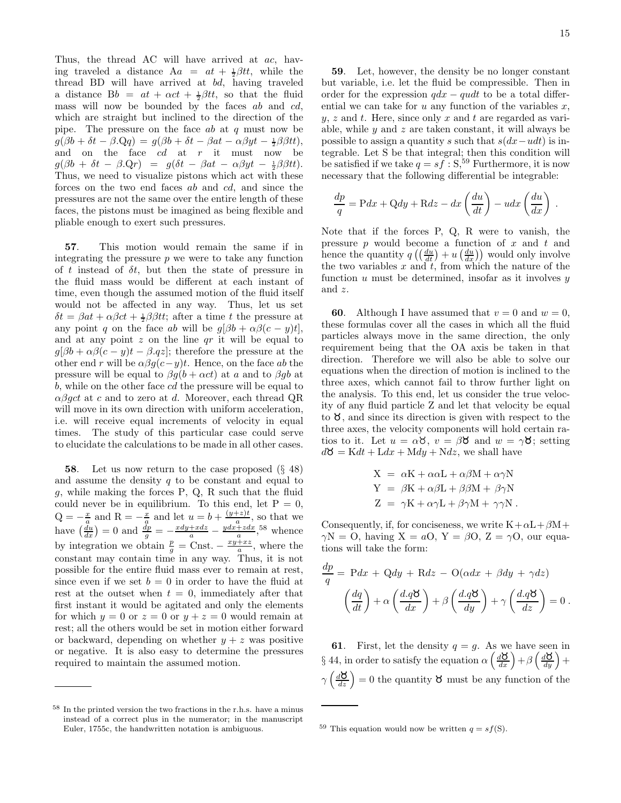Thus, the thread AC will have arrived at ac, having traveled a distance  $Aa = at + \frac{1}{2}\beta t$ , while the thread BD will have arrived at bd, having traveled a distance  $Bb = at + \alpha ct + \frac{1}{2}\beta tt$ , so that the fluid mass will now be bounded by the faces ab and cd, which are straight but inclined to the direction of the pipe. The pressure on the face  $ab$  at  $q$  must now be  $g(\beta b + \delta t - \beta \cdot \mathbf{Q}q) = g(\beta b + \delta t - \beta at - \alpha \beta yt - \frac{1}{2}\beta \beta tt),$ and on the face  $cd$  at  $r$  it must now be  $g(\beta b + \delta t - \beta \Omega r) = g(\delta t - \beta a t - \alpha \beta y t - \frac{1}{2}\beta \beta t t).$ Thus, we need to visualize pistons which act with these forces on the two end faces ab and cd, and since the pressures are not the same over the entire length of these faces, the pistons must be imagined as being flexible and pliable enough to exert such pressures.

57. This motion would remain the same if in integrating the pressure  $p$  we were to take any function of t instead of  $\delta t$ , but then the state of pressure in the fluid mass would be different at each instant of time, even though the assumed motion of the fluid itself would not be affected in any way. Thus, let us set  $\delta t = \beta a t + \alpha \beta c t + \frac{1}{2} \beta \beta t$ ; after a time t the pressure at any point q on the face ab will be  $g[\beta b + \alpha \beta(c - y)t],$ and at any point  $z$  on the line  $qr$  it will be equal to  $g[\beta b + \alpha \beta (c - y)t - \beta.qz]$ ; therefore the pressure at the other end r will be  $\alpha\beta g(c-y)t$ . Hence, on the face ab the pressure will be equal to  $\beta q(b + \alpha ct)$  at a and to  $\beta qb$  at b, while on the other face cd the pressure will be equal to  $\alpha \beta gct$  at c and to zero at d. Moreover, each thread QR will move in its own direction with uniform acceleration, i.e. will receive equal increments of velocity in equal times. The study of this particular case could serve to elucidate the calculations to be made in all other cases.

**58**. Let us now return to the case proposed  $(\S$  48) and assume the density  $q$  to be constant and equal to g, while making the forces P, Q, R such that the fluid could never be in equilibrium. To this end, let  $P = 0$ ,  $Q = -\frac{x}{a}$  and  $R = -\frac{x}{a}$  and let  $u = b + \frac{(y+z)t}{a}$  $\frac{z}{a}$ , so that we have  $\left(\frac{du}{dx}\right) = 0$  and  $\frac{dp}{g} = -\frac{xdy + xdz}{a} - \frac{ydx + zdx}{a}$ ,<sup>58</sup> whence by integration we obtain  $\frac{p}{g}$  = Cnst. –  $\frac{xy+xz}{a}$ , where the constant may contain time in any way. Thus, it is not possible for the entire fluid mass ever to remain at rest, since even if we set  $b = 0$  in order to have the fluid at rest at the outset when  $t = 0$ , immediately after that first instant it would be agitated and only the elements for which  $y = 0$  or  $z = 0$  or  $y + z = 0$  would remain at rest; all the others would be set in motion either forward or backward, depending on whether  $y + z$  was positive or negative. It is also easy to determine the pressures required to maintain the assumed motion.

59. Let, however, the density be no longer constant but variable, i.e. let the fluid be compressible. Then in order for the expression  $qdx - qudt$  to be a total differential we can take for  $u$  any function of the variables  $x$ ,  $y, z$  and t. Here, since only x and t are regarded as variable, while  $y$  and  $z$  are taken constant, it will always be possible to assign a quantity s such that  $s(dx - u dt)$  is integrable. Let S be that integral; then this condition will be satisfied if we take  $q = sf : S<sup>59</sup>$  Furthermore, it is now necessary that the following differential be integrable:

$$
\frac{dp}{q} = Pdx + Qdy + Rdz - dx\left(\frac{du}{dt}\right) - u dx\left(\frac{du}{dx}\right) .
$$

Note that if the forces P, Q, R were to vanish, the pressure  $p$  would become a function of  $x$  and  $t$  and hence the quantity  $q\left(\left(\frac{du}{dt}\right) + u\left(\frac{du}{dx}\right)\right)$  would only involve the two variables  $x$  and  $t$ , from which the nature of the function  $u$  must be determined, insofar as it involves  $y$ and z.

**60.** Although I have assumed that  $v = 0$  and  $w = 0$ , these formulas cover all the cases in which all the fluid particles always move in the same direction, the only requirement being that the OA axis be taken in that direction. Therefore we will also be able to solve our equations when the direction of motion is inclined to the three axes, which cannot fail to throw further light on the analysis. To this end, let us consider the true velocity of any fluid particle Z and let that velocity be equal to  $\delta$ , and since its direction is given with respect to the three axes, the velocity components will hold certain ratios to it. Let  $u = \alpha \delta$ ,  $v = \beta \delta$  and  $w = \gamma \delta$ ; setting  $d\mathbf{\mathcal{S}} = \mathbf{K}dt + \mathbf{L}dx + \mathbf{M}dy + \mathbf{N}dz$ , we shall have

$$
X = \alpha K + \alpha \alpha L + \alpha \beta M + \alpha \gamma N
$$
  
\n
$$
Y = \beta K + \alpha \beta L + \beta \beta M + \beta \gamma N
$$
  
\n
$$
Z = \gamma K + \alpha \gamma L + \beta \gamma M + \gamma \gamma N.
$$

Consequently, if, for conciseness, we write  $K + \alpha L + \beta M +$  $\gamma N = 0$ , having  $X = aO$ ,  $Y = \beta O$ ,  $Z = \gamma O$ , our equations will take the form:

$$
\frac{dp}{q} = Pdx + Qdy + Rdz - O(\alpha dx + \beta dy + \gamma dz)
$$

$$
\left(\frac{dq}{dt}\right) + \alpha \left(\frac{d.q\mathbf{S}}{dx}\right) + \beta \left(\frac{d.q\mathbf{S}}{dy}\right) + \gamma \left(\frac{d.q\mathbf{S}}{dz}\right) = 0.
$$

**61**. First, let the density  $q = g$ . As we have seen in § 44, in order to satisfy the equation  $\alpha \left(\frac{dS}{dx}\right) + \beta \left(\frac{dS}{dy}\right) +$  $\gamma\left(\frac{d\mathcal{S}}{dz}\right) = 0$  the quantity  $\mathcal S$  must be any function of the

In the printed version the two fractions in the r.h.s. have a minus instead of a correct plus in the numerator; in the manuscript Euler, 1755c, the handwritten notation is ambiguous.

<sup>&</sup>lt;sup>59</sup> This equation would now be written  $q = sf(S)$ .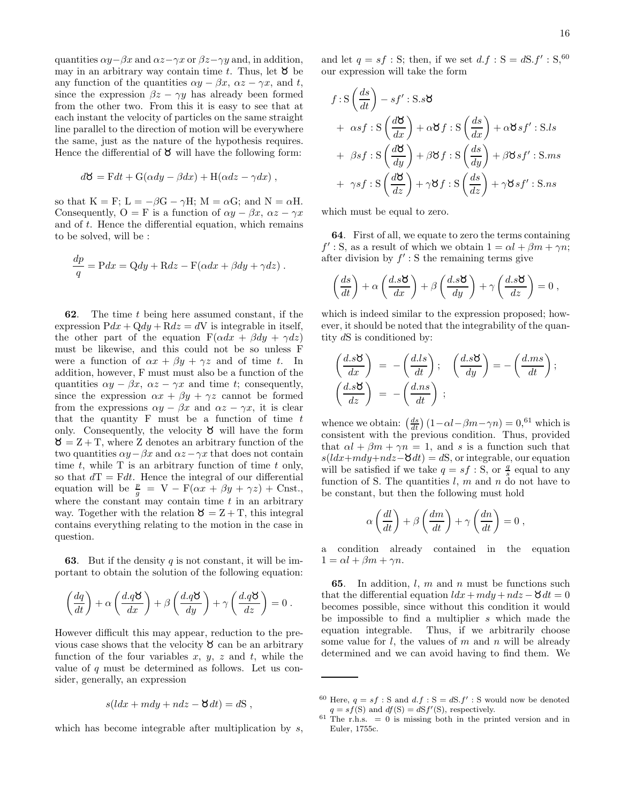quantities  $\alpha y-\beta x$  and  $\alpha z-\gamma x$  or  $\beta z-\gamma y$  and, in addition, may in an arbitrary way contain time t. Thus, let  $\delta$  be any function of the quantities  $\alpha y - \beta x$ ,  $\alpha z - \gamma x$ , and t, since the expression  $\beta z - \gamma y$  has already been formed from the other two. From this it is easy to see that at each instant the velocity of particles on the same straight line parallel to the direction of motion will be everywhere the same, just as the nature of the hypothesis requires. Hence the differential of  $\delta$  will have the following form:

$$
d\mathbf{\mathcal{S}} = \mathbf{F}dt + \mathbf{G}(\alpha dy - \beta dx) + \mathbf{H}(\alpha dz - \gamma dx) ,
$$

so that  $K = F$ ;  $L = -\beta G - \gamma H$ ;  $M = \alpha G$ ; and  $N = \alpha H$ . Consequently,  $O = F$  is a function of  $\alpha y - \beta x$ ,  $\alpha z - \gamma x$ and of t. Hence the differential equation, which remains to be solved, will be :

$$
\frac{dp}{q} = Pdx = Qdy + Rdz - F(\alpha dx + \beta dy + \gamma dz).
$$

**62.** The time  $t$  being here assumed constant, if the expression  $Pdx + Qdy + Rdz = dV$  is integrable in itself, the other part of the equation  $F(\alpha dx + \beta dy + \gamma dz)$ must be likewise, and this could not be so unless F were a function of  $\alpha x + \beta y + \gamma z$  and of time t. In addition, however, F must must also be a function of the quantities  $\alpha y - \beta x$ ,  $\alpha z - \gamma x$  and time t; consequently, since the expression  $\alpha x + \beta y + \gamma z$  cannot be formed from the expressions  $\alpha y - \beta x$  and  $\alpha z - \gamma x$ , it is clear that the quantity  $F$  must be a function of time  $t$ only. Consequently, the velocity  $\delta$  will have the form  $\mathcal{B} = \mathbb{Z} + \mathbb{T}$ , where Z denotes an arbitrary function of the two quantities  $\alpha y-\beta x$  and  $\alpha z-\gamma x$  that does not contain time t, while  $T$  is an arbitrary function of time t only, so that  $dT = Fdt$ . Hence the integral of our differential equation will be  $\frac{p}{g} = V - F(\alpha x + \beta y + \gamma z) + \text{Const.},$ where the constant may contain time  $t$  in an arbitrary way. Together with the relation  $\mathcal{B} = \mathbb{Z} + \mathbb{T}$ , this integral contains everything relating to the motion in the case in question.

**63.** But if the density  $q$  is not constant, it will be important to obtain the solution of the following equation:

$$
\left(\frac{dq}{dt}\right) + \alpha \left(\frac{d.q\mathbf{B}}{dx}\right) + \beta \left(\frac{d.q\mathbf{B}}{dy}\right) + \gamma \left(\frac{d.q\mathbf{B}}{dz}\right) = 0.
$$

However difficult this may appear, reduction to the previous case shows that the velocity  $\delta$  can be an arbitrary function of the four variables  $x, y, z$  and  $t$ , while the value of  $q$  must be determined as follows. Let us consider, generally, an expression

$$
s(ldx + mdy + ndz - \mathcal{S} dt) = dS,
$$

which has become integrable after multiplication by s,

and let  $q = sf : S$ ; then, if we set  $d.f : S = dS.f' : S,$ <sup>60</sup> our expression will take the form

$$
f: S\left(\frac{ds}{dt}\right) - sf': S.sS
$$
  
+  $\alpha sf: S\left(\frac{dS}{dx}\right) + \alpha Sf: S\left(\frac{ds}{dx}\right) + \alpha Ssf': S.ls$   
+  $\beta sf: S\left(\frac{dS}{dy}\right) + \beta Sf: S\left(\frac{ds}{dy}\right) + \beta Ssf': S.ms$   
+  $\gamma sf: S\left(\frac{dS}{dz}\right) + \gamma Sf: S\left(\frac{ds}{dz}\right) + \gamma Ssf': S.ns$ 

which must be equal to zero.

64. First of all, we equate to zero the terms containing  $f'$ : S, as a result of which we obtain  $1 = \alpha l + \beta m + \gamma n$ ; after division by  $f'$ : S the remaining terms give

$$
\left(\frac{ds}{dt}\right) + \alpha \left(\frac{d.s\mathcal{S}}{dx}\right) + \beta \left(\frac{d.s\mathcal{S}}{dy}\right) + \gamma \left(\frac{d.s\mathcal{S}}{dz}\right) = 0,
$$

which is indeed similar to the expression proposed; however, it should be noted that the integrability of the quantity dS is conditioned by:

$$
\begin{aligned}\n\left(\frac{d.\mathbf{s}\mathbf{S}}{dx}\right) &= -\left(\frac{d.\mathbf{l}\mathbf{s}}{dt}\right); \\
\left(\frac{d.\mathbf{s}\mathbf{S}}{dz}\right) &= -\left(\frac{d.\mathbf{n}\mathbf{s}}{dt}\right); \\
\end{aligned}
$$

whence we obtain:  $\left(\frac{ds}{dt}\right)(1-\alpha l - \beta m - \gamma n) = 0,$ <sup>61</sup> which is consistent with the previous condition. Thus, provided that  $\alpha l + \beta m + \gamma n = 1$ , and s is a function such that  $s(ldx+mdy+ndz-\mathcal{S}dt) = dS$ , or integrable, our equation will be satisfied if we take  $q = sf : S$ , or  $\frac{q}{s}$  equal to any function of S. The quantities  $l, m$  and  $n$  do not have to be constant, but then the following must hold

$$
\alpha \left( \frac{dl}{dt} \right) + \beta \left( \frac{dm}{dt} \right) + \gamma \left( \frac{dn}{dt} \right) = 0,
$$

a condition already contained in the equation  $1 = \alpha l + \beta m + \gamma n.$ 

**65.** In addition,  $l, m$  and  $n$  must be functions such that the differential equation  $ldx + mdy + ndz - \mathcal{J}dt = 0$ becomes possible, since without this condition it would be impossible to find a multiplier s which made the equation integrable. Thus, if we arbitrarily choose some value for  $l$ , the values of  $m$  and  $n$  will be already determined and we can avoid having to find them. We

<sup>&</sup>lt;sup>60</sup> Here,  $q = sf : S$  and  $d.f : S = dS.f' : S$  would now be denoted  $q = sf(S)$  and  $df(S) = dSf'(S)$ , respectively.<br><sup>61</sup> The r.h.s. = 0 is missing both in the printed version and in

Euler, 1755c.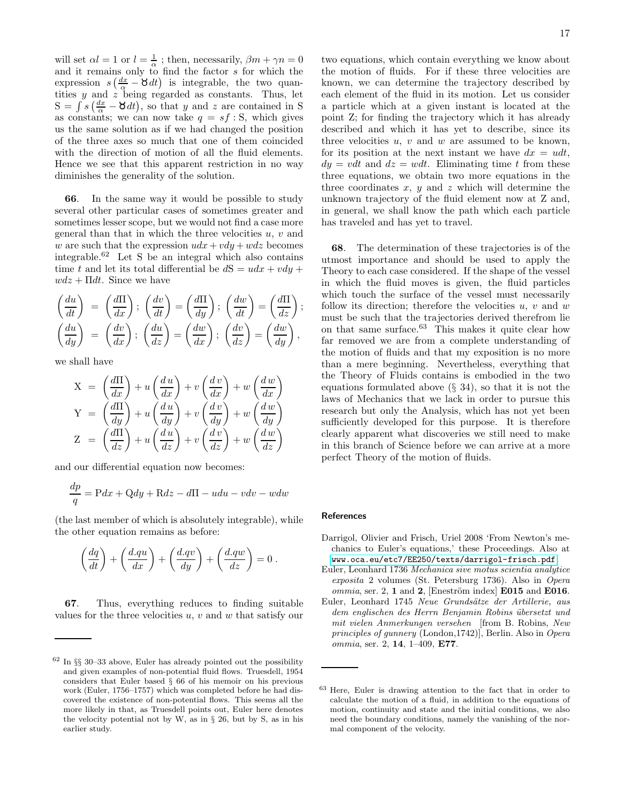will set  $\alpha l = 1$  or  $l = \frac{1}{\alpha}$ ; then, necessarily,  $\beta m + \gamma n = 0$ and it remains only to find the factor s for which the expression  $s\left(\frac{dx}{\alpha} - \mathcal{O} dt\right)$  is integrable, the two quantities  $y$  and  $z$  being regarded as constants. Thus, let  $S = \int s \left( \frac{dx}{\alpha} - \mathcal{O} dt \right)$ , so that y and z are contained in S as constants; we can now take  $q = sf : S$ , which gives us the same solution as if we had changed the position of the three axes so much that one of them coincided with the direction of motion of all the fluid elements. Hence we see that this apparent restriction in no way diminishes the generality of the solution.

66. In the same way it would be possible to study several other particular cases of sometimes greater and sometimes lesser scope, but we would not find a case more general than that in which the three velocities  $u, v$  and w are such that the expression  $udx+vdy+wdz$  becomes integrable.<sup>62</sup> Let S be an integral which also contains time t and let its total differential be  $dS = u dx + v dy +$  $wdz + \Pi dt$ . Since we have

$$
\begin{pmatrix}\n\frac{du}{dt}\n\end{pmatrix} = \begin{pmatrix}\n\frac{d\Pi}{dx}\n\end{pmatrix}; \quad\n\begin{pmatrix}\n\frac{dv}{dt}\n\end{pmatrix} = \begin{pmatrix}\n\frac{d\Pi}{dy}\n\end{pmatrix}; \quad\n\begin{pmatrix}\n\frac{dw}{dt}\n\end{pmatrix} = \begin{pmatrix}\n\frac{du}{dx}\n\end{pmatrix}; \quad\n\begin{pmatrix}\n\frac{du}{dx}\n\end{pmatrix} = \begin{pmatrix}\n\frac{dw}{dx}\n\end{pmatrix}; \quad\n\begin{pmatrix}\n\frac{dv}{dx}\n\end{pmatrix} = \begin{pmatrix}\n\frac{dw}{dy}\n\end{pmatrix},
$$

we shall have

$$
X = \left(\frac{d\Pi}{dx}\right) + u\left(\frac{du}{dx}\right) + v\left(\frac{dv}{dx}\right) + w\left(\frac{dw}{dx}\right)
$$
  
\n
$$
Y = \left(\frac{d\Pi}{dy}\right) + u\left(\frac{du}{dy}\right) + v\left(\frac{dv}{dy}\right) + w\left(\frac{dw}{dy}\right)
$$
  
\n
$$
Z = \left(\frac{d\Pi}{dz}\right) + u\left(\frac{du}{dz}\right) + v\left(\frac{dv}{dz}\right) + w\left(\frac{dw}{dz}\right)
$$

and our differential equation now becomes:

$$
\frac{dp}{q} = Pdx + Qdy + Rdz - d\Pi - udu - vdv - wdw
$$

(the last member of which is absolutely integrable), while the other equation remains as before:

$$
\left(\frac{dq}{dt}\right) + \left(\frac{d.qu}{dx}\right) + \left(\frac{d.qv}{dy}\right) + \left(\frac{d.qw}{dz}\right) = 0.
$$

67. Thus, everything reduces to finding suitable values for the three velocities  $u, v$  and  $w$  that satisfy our

two equations, which contain everything we know about the motion of fluids. For if these three velocities are known, we can determine the trajectory described by each element of the fluid in its motion. Let us consider a particle which at a given instant is located at the point Z; for finding the trajectory which it has already described and which it has yet to describe, since its three velocities  $u, v$  and  $w$  are assumed to be known, for its position at the next instant we have  $dx = u dt$ ,  $dy = vdt$  and  $dz = wdt$ . Eliminating time t from these three equations, we obtain two more equations in the three coordinates  $x, y$  and  $z$  which will determine the unknown trajectory of the fluid element now at Z and, in general, we shall know the path which each particle has traveled and has yet to travel.

68. The determination of these trajectories is of the utmost importance and should be used to apply the Theory to each case considered. If the shape of the vessel in which the fluid moves is given, the fluid particles which touch the surface of the vessel must necessarily follow its direction; therefore the velocities  $u, v$  and  $w$ must be such that the trajectories derived therefrom lie on that same surface. $63$  This makes it quite clear how far removed we are from a complete understanding of the motion of fluids and that my exposition is no more than a mere beginning. Nevertheless, everything that the Theory of Fluids contains is embodied in the two equations formulated above  $(\S 34)$ , so that it is not the laws of Mechanics that we lack in order to pursue this research but only the Analysis, which has not yet been sufficiently developed for this purpose. It is therefore clearly apparent what discoveries we still need to make in this branch of Science before we can arrive at a more perfect Theory of the motion of fluids.

## References

- Darrigol, Olivier and Frisch, Uriel 2008 'From Newton's mechanics to Euler's equations,' these Proceedings. Also at [www.oca.eu/etc7/EE250/texts/darrigol-frisch.pdf](www.oca.eu/etc7/EE250/texts/ darrigol-frisch.pdf).
- Euler, Leonhard 1736 Mechanica sive motus scientia analytice exposita 2 volumes (St. Petersburg 1736). Also in Opera  $ommia$ , ser. 2, 1 and 2, [Eneström index] E015 and E016.
- Euler, Leonhard 1745 Neue Grundsätze der Artillerie, aus dem englischen des Herrn Benjamin Robins übersetzt und mit vielen Anmerkungen versehen [from B. Robins, New principles of gunnery (London,1742)], Berlin. Also in Opera ommia, ser. 2, 14, 1–409, E77.

In §§ 30–33 above, Euler has already pointed out the possibility and given examples of non-potential fluid flows. Truesdell, 1954 considers that Euler based § 66 of his memoir on his previous work (Euler, 1756–1757) which was completed before he had discovered the existence of non-potential flows. This seems all the more likely in that, as Truesdell points out, Euler here denotes the velocity potential not by W, as in § 26, but by S, as in his earlier study.

<sup>63</sup> Here, Euler is drawing attention to the fact that in order to calculate the motion of a fluid, in addition to the equations of motion, continuity and state and the initial conditions, we also need the boundary conditions, namely the vanishing of the normal component of the velocity.